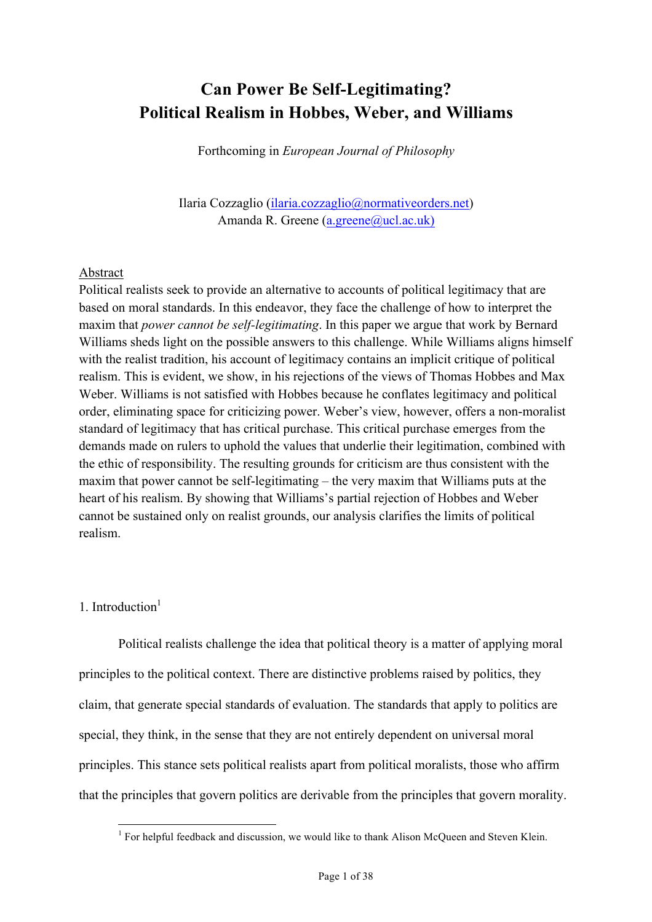# **Can Power Be Self-Legitimating? Political Realism in Hobbes, Weber, and Williams**

Forthcoming in *European Journal of Philosophy*

Ilaria Cozzaglio (ilaria.cozzaglio@normativeorders.net) Amanda R. Greene (a.greene@ucl.ac.uk)

### Abstract

Political realists seek to provide an alternative to accounts of political legitimacy that are based on moral standards. In this endeavor, they face the challenge of how to interpret the maxim that *power cannot be self-legitimating*. In this paper we argue that work by Bernard Williams sheds light on the possible answers to this challenge. While Williams aligns himself with the realist tradition, his account of legitimacy contains an implicit critique of political realism. This is evident, we show, in his rejections of the views of Thomas Hobbes and Max Weber. Williams is not satisfied with Hobbes because he conflates legitimacy and political order, eliminating space for criticizing power. Weber's view, however, offers a non-moralist standard of legitimacy that has critical purchase. This critical purchase emerges from the demands made on rulers to uphold the values that underlie their legitimation, combined with the ethic of responsibility. The resulting grounds for criticism are thus consistent with the maxim that power cannot be self-legitimating – the very maxim that Williams puts at the heart of his realism. By showing that Williams's partial rejection of Hobbes and Weber cannot be sustained only on realist grounds, our analysis clarifies the limits of political realism.

## 1. Introduction $<sup>1</sup>$ </sup>

Political realists challenge the idea that political theory is a matter of applying moral principles to the political context. There are distinctive problems raised by politics, they claim, that generate special standards of evaluation. The standards that apply to politics are special, they think, in the sense that they are not entirely dependent on universal moral principles. This stance sets political realists apart from political moralists, those who affirm that the principles that govern politics are derivable from the principles that govern morality.

<sup>&</sup>lt;sup>1</sup> For helpful feedback and discussion, we would like to thank Alison McQueen and Steven Klein.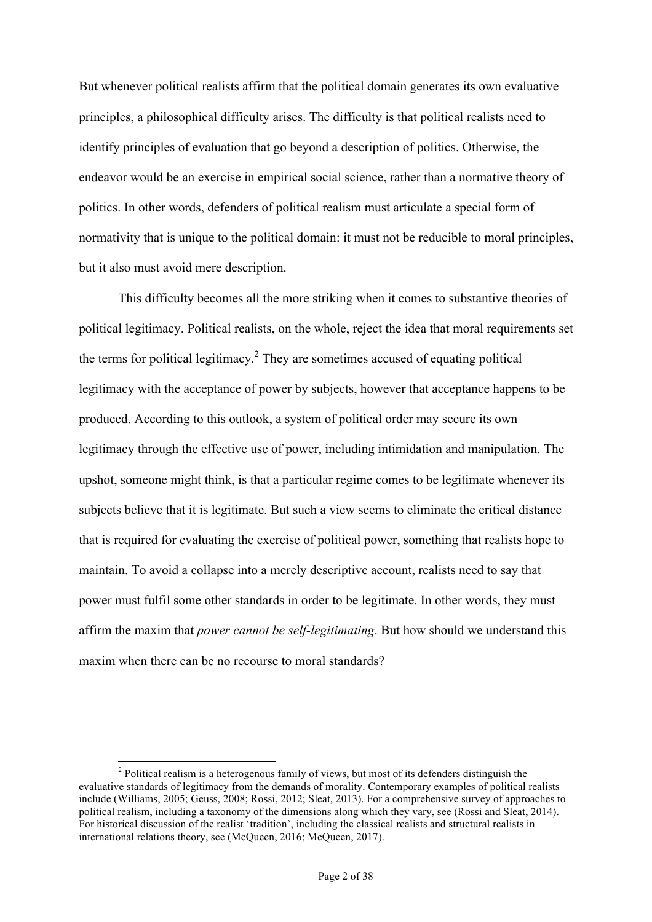But whenever political realists affirm that the political domain generates its own evaluative principles, a philosophical difficulty arises. The difficulty is that political realists need to identify principles of evaluation that go beyond a description of politics. Otherwise, the endeavor would be an exercise in empirical social science, rather than a normative theory of politics. In other words, defenders of political realism must articulate a special form of normativity that is unique to the political domain: it must not be reducible to moral principles, but it also must avoid mere description.

This difficulty becomes all the more striking when it comes to substantive theories of political legitimacy. Political realists, on the whole, reject the idea that moral requirements set the terms for political legitimacy.<sup>2</sup> They are sometimes accused of equating political legitimacy with the acceptance of power by subjects, however that acceptance happens to be produced. According to this outlook, a system of political order may secure its own legitimacy through the effective use of power, including intimidation and manipulation. The upshot, someone might think, is that a particular regime comes to be legitimate whenever its subjects believe that it is legitimate. But such a view seems to eliminate the critical distance that is required for evaluating the exercise of political power, something that realists hope to maintain. To avoid a collapse into a merely descriptive account, realists need to say that power must fulfil some other standards in order to be legitimate. In other words, they must affirm the maxim that *power cannot be self-legitimating*. But how should we understand this maxim when there can be no recourse to moral standards?

<sup>&</sup>lt;sup>2</sup> Political realism is a heterogenous family of views, but most of its defenders distinguish the evaluative standards of legitimacy from the demands of morality. Contemporary examples of political realists include (Williams, 2005; Geuss, 2008; Rossi, 2012; Sleat, 2013). For a comprehensive survey of approaches to political realism, including a taxonomy of the dimensions along which they vary, see (Rossi and Sleat, 2014). For historical discussion of the realist 'tradition', including the classical realists and structural realists in international relations theory, see (McQueen, 2016; McQueen, 2017).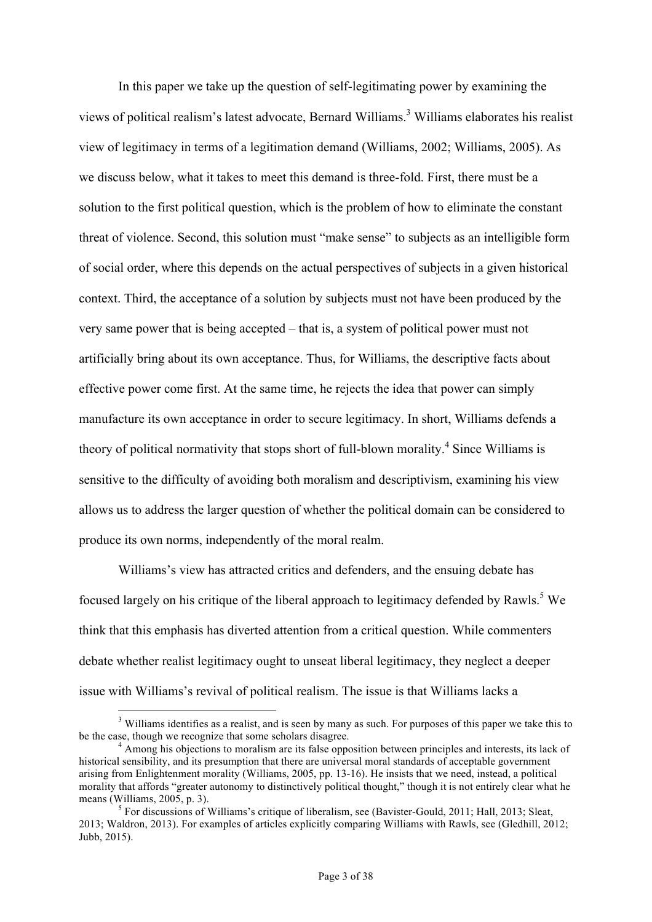In this paper we take up the question of self-legitimating power by examining the views of political realism's latest advocate, Bernard Williams. <sup>3</sup> Williams elaborates his realist view of legitimacy in terms of a legitimation demand (Williams, 2002; Williams, 2005). As we discuss below, what it takes to meet this demand is three-fold. First, there must be a solution to the first political question, which is the problem of how to eliminate the constant threat of violence. Second, this solution must "make sense" to subjects as an intelligible form of social order, where this depends on the actual perspectives of subjects in a given historical context. Third, the acceptance of a solution by subjects must not have been produced by the very same power that is being accepted – that is, a system of political power must not artificially bring about its own acceptance. Thus, for Williams, the descriptive facts about effective power come first. At the same time, he rejects the idea that power can simply manufacture its own acceptance in order to secure legitimacy. In short, Williams defends a theory of political normativity that stops short of full-blown morality.<sup>4</sup> Since Williams is sensitive to the difficulty of avoiding both moralism and descriptivism, examining his view allows us to address the larger question of whether the political domain can be considered to produce its own norms, independently of the moral realm.

Williams's view has attracted critics and defenders, and the ensuing debate has focused largely on his critique of the liberal approach to legitimacy defended by Rawls.<sup>5</sup> We think that this emphasis has diverted attention from a critical question. While commenters debate whether realist legitimacy ought to unseat liberal legitimacy, they neglect a deeper issue with Williams's revival of political realism. The issue is that Williams lacks a

 $3$  Williams identifies as a realist, and is seen by many as such. For purposes of this paper we take this to be the case, though we recognize that some scholars disagree.

 $\frac{4}{3}$  Among his objections to moralism are its false opposition between principles and interests, its lack of historical sensibility, and its presumption that there are universal moral standards of acceptable government arising from Enlightenment morality (Williams, 2005, pp. 13-16). He insists that we need, instead, a political morality that affords "greater autonomy to distinctively political thought," though it is not entirely clear what he means (Williams, 2005, p. 3).<br><sup>5</sup> For discussions of Williams's critique of liberalism, see (Bavister-Gould, 2011; Hall, 2013; Sleat,

<sup>2013;</sup> Waldron, 2013). For examples of articles explicitly comparing Williams with Rawls, see (Gledhill, 2012; Jubb, 2015).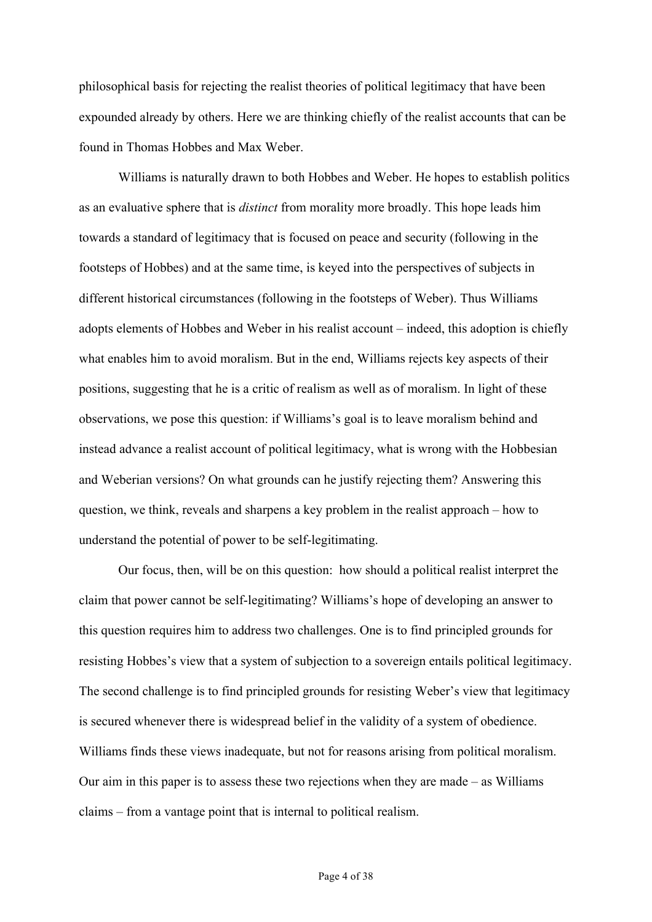philosophical basis for rejecting the realist theories of political legitimacy that have been expounded already by others. Here we are thinking chiefly of the realist accounts that can be found in Thomas Hobbes and Max Weber.

Williams is naturally drawn to both Hobbes and Weber. He hopes to establish politics as an evaluative sphere that is *distinct* from morality more broadly. This hope leads him towards a standard of legitimacy that is focused on peace and security (following in the footsteps of Hobbes) and at the same time, is keyed into the perspectives of subjects in different historical circumstances (following in the footsteps of Weber). Thus Williams adopts elements of Hobbes and Weber in his realist account – indeed, this adoption is chiefly what enables him to avoid moralism. But in the end, Williams rejects key aspects of their positions, suggesting that he is a critic of realism as well as of moralism. In light of these observations, we pose this question: if Williams's goal is to leave moralism behind and instead advance a realist account of political legitimacy, what is wrong with the Hobbesian and Weberian versions? On what grounds can he justify rejecting them? Answering this question, we think, reveals and sharpens a key problem in the realist approach – how to understand the potential of power to be self-legitimating.

Our focus, then, will be on this question: how should a political realist interpret the claim that power cannot be self-legitimating? Williams's hope of developing an answer to this question requires him to address two challenges. One is to find principled grounds for resisting Hobbes's view that a system of subjection to a sovereign entails political legitimacy. The second challenge is to find principled grounds for resisting Weber's view that legitimacy is secured whenever there is widespread belief in the validity of a system of obedience. Williams finds these views inadequate, but not for reasons arising from political moralism. Our aim in this paper is to assess these two rejections when they are made – as Williams claims – from a vantage point that is internal to political realism.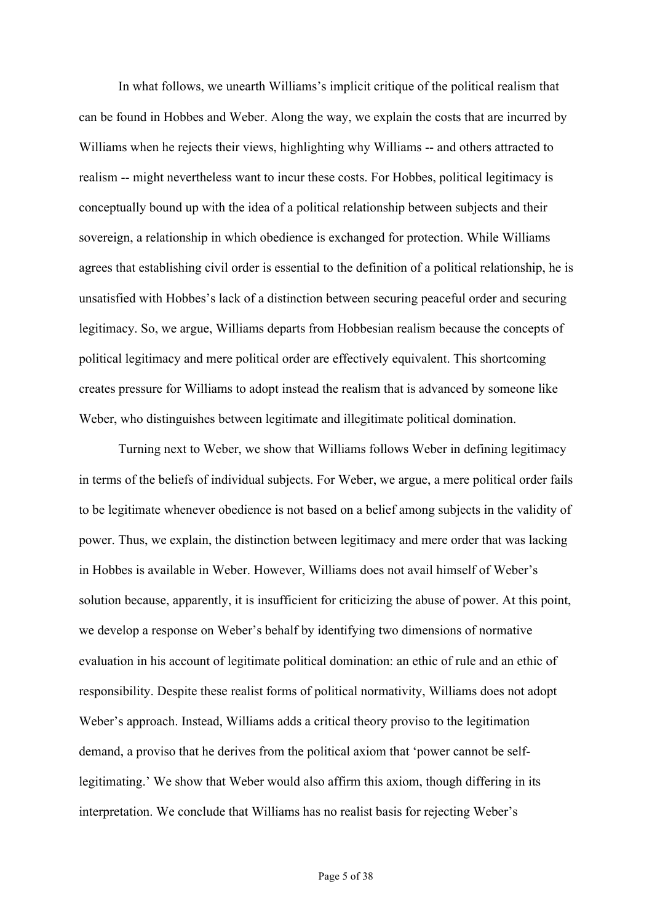In what follows, we unearth Williams's implicit critique of the political realism that can be found in Hobbes and Weber. Along the way, we explain the costs that are incurred by Williams when he rejects their views, highlighting why Williams -- and others attracted to realism -- might nevertheless want to incur these costs. For Hobbes, political legitimacy is conceptually bound up with the idea of a political relationship between subjects and their sovereign, a relationship in which obedience is exchanged for protection. While Williams agrees that establishing civil order is essential to the definition of a political relationship, he is unsatisfied with Hobbes's lack of a distinction between securing peaceful order and securing legitimacy. So, we argue, Williams departs from Hobbesian realism because the concepts of political legitimacy and mere political order are effectively equivalent. This shortcoming creates pressure for Williams to adopt instead the realism that is advanced by someone like Weber, who distinguishes between legitimate and illegitimate political domination.

Turning next to Weber, we show that Williams follows Weber in defining legitimacy in terms of the beliefs of individual subjects. For Weber, we argue, a mere political order fails to be legitimate whenever obedience is not based on a belief among subjects in the validity of power. Thus, we explain, the distinction between legitimacy and mere order that was lacking in Hobbes is available in Weber. However, Williams does not avail himself of Weber's solution because, apparently, it is insufficient for criticizing the abuse of power. At this point, we develop a response on Weber's behalf by identifying two dimensions of normative evaluation in his account of legitimate political domination: an ethic of rule and an ethic of responsibility. Despite these realist forms of political normativity, Williams does not adopt Weber's approach. Instead, Williams adds a critical theory proviso to the legitimation demand, a proviso that he derives from the political axiom that 'power cannot be selflegitimating.' We show that Weber would also affirm this axiom, though differing in its interpretation. We conclude that Williams has no realist basis for rejecting Weber's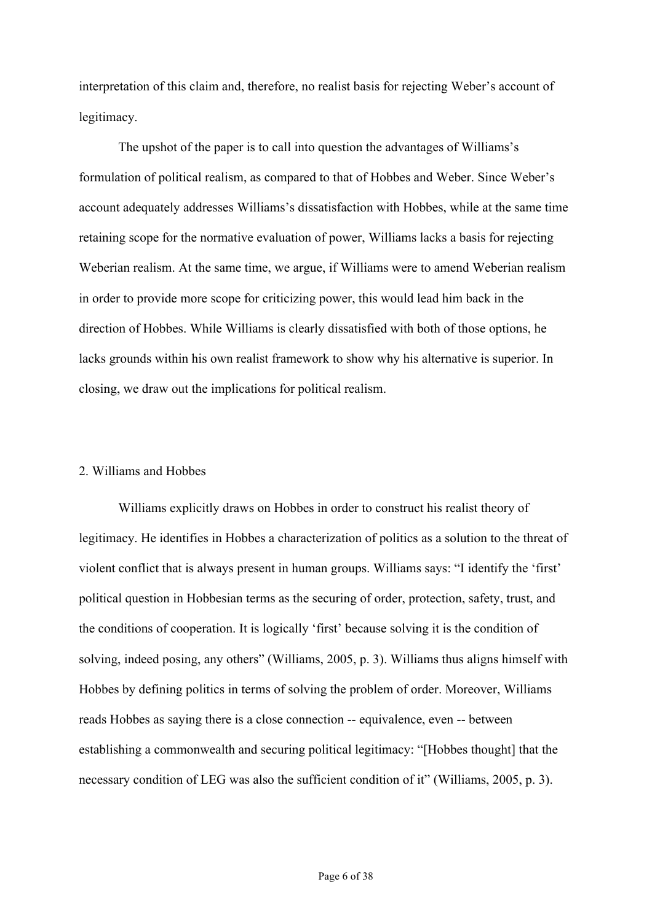interpretation of this claim and, therefore, no realist basis for rejecting Weber's account of legitimacy.

The upshot of the paper is to call into question the advantages of Williams's formulation of political realism, as compared to that of Hobbes and Weber. Since Weber's account adequately addresses Williams's dissatisfaction with Hobbes, while at the same time retaining scope for the normative evaluation of power, Williams lacks a basis for rejecting Weberian realism. At the same time, we argue, if Williams were to amend Weberian realism in order to provide more scope for criticizing power, this would lead him back in the direction of Hobbes. While Williams is clearly dissatisfied with both of those options, he lacks grounds within his own realist framework to show why his alternative is superior. In closing, we draw out the implications for political realism.

#### 2. Williams and Hobbes

Williams explicitly draws on Hobbes in order to construct his realist theory of legitimacy. He identifies in Hobbes a characterization of politics as a solution to the threat of violent conflict that is always present in human groups. Williams says: "I identify the 'first' political question in Hobbesian terms as the securing of order, protection, safety, trust, and the conditions of cooperation. It is logically 'first' because solving it is the condition of solving, indeed posing, any others" (Williams, 2005, p. 3). Williams thus aligns himself with Hobbes by defining politics in terms of solving the problem of order. Moreover, Williams reads Hobbes as saying there is a close connection -- equivalence, even -- between establishing a commonwealth and securing political legitimacy: "[Hobbes thought] that the necessary condition of LEG was also the sufficient condition of it" (Williams, 2005, p. 3).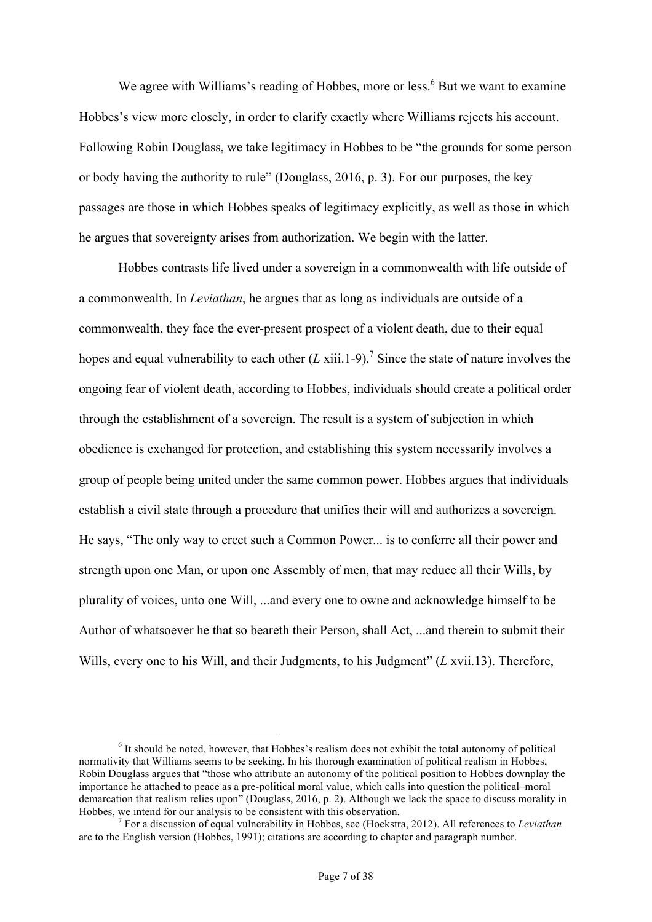We agree with Williams's reading of Hobbes, more or less.<sup>6</sup> But we want to examine Hobbes's view more closely, in order to clarify exactly where Williams rejects his account. Following Robin Douglass, we take legitimacy in Hobbes to be "the grounds for some person or body having the authority to rule" (Douglass, 2016, p. 3). For our purposes, the key passages are those in which Hobbes speaks of legitimacy explicitly, as well as those in which he argues that sovereignty arises from authorization. We begin with the latter.

Hobbes contrasts life lived under a sovereign in a commonwealth with life outside of a commonwealth. In *Leviathan*, he argues that as long as individuals are outside of a commonwealth, they face the ever-present prospect of a violent death, due to their equal hopes and equal vulnerability to each other (*L* xiii.1-9). <sup>7</sup> Since the state of nature involves the ongoing fear of violent death, according to Hobbes, individuals should create a political order through the establishment of a sovereign. The result is a system of subjection in which obedience is exchanged for protection, and establishing this system necessarily involves a group of people being united under the same common power. Hobbes argues that individuals establish a civil state through a procedure that unifies their will and authorizes a sovereign. He says, "The only way to erect such a Common Power... is to conferre all their power and strength upon one Man, or upon one Assembly of men, that may reduce all their Wills, by plurality of voices, unto one Will, ...and every one to owne and acknowledge himself to be Author of whatsoever he that so beareth their Person, shall Act, ...and therein to submit their Wills, every one to his Will, and their Judgments, to his Judgment" (*L* xvii.13). Therefore,

<sup>&</sup>lt;sup>6</sup> It should be noted, however, that Hobbes's realism does not exhibit the total autonomy of political normativity that Williams seems to be seeking. In his thorough examination of political realism in Hobbes, Robin Douglass argues that "those who attribute an autonomy of the political position to Hobbes downplay the importance he attached to peace as a pre-political moral value, which calls into question the political–moral demarcation that realism relies upon" (Douglass, 2016, p. 2). Although we lack the space to discuss morality in Hobbes, we intend for our analysis to be consistent with this observation.

For a discussion of equal vulnerability in Hobbes, see (Hoekstra, 2012). All references to *Leviathan* are to the English version (Hobbes, 1991); citations are according to chapter and paragraph number.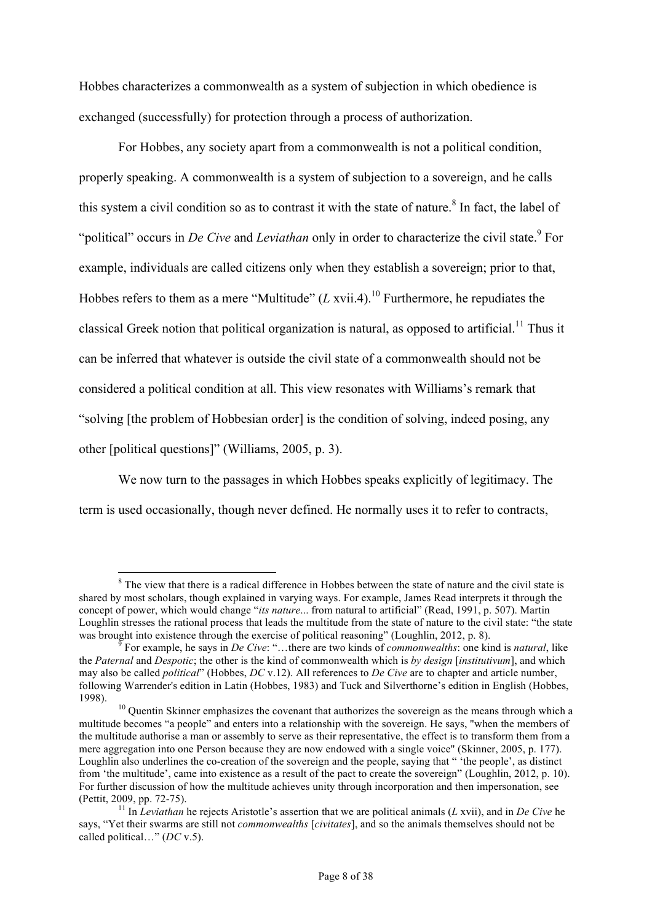Hobbes characterizes a commonwealth as a system of subjection in which obedience is exchanged (successfully) for protection through a process of authorization.

For Hobbes, any society apart from a commonwealth is not a political condition, properly speaking. A commonwealth is a system of subjection to a sovereign, and he calls this system a civil condition so as to contrast it with the state of nature.<sup>8</sup> In fact, the label of "political" occurs in *De Cive* and *Leviathan* only in order to characterize the civil state.<sup>9</sup> For example, individuals are called citizens only when they establish a sovereign; prior to that, Hobbes refers to them as a mere "Multitude"  $(L \text{ xvii.4})$ .<sup>10</sup> Furthermore, he repudiates the classical Greek notion that political organization is natural, as opposed to artificial.<sup>11</sup> Thus it can be inferred that whatever is outside the civil state of a commonwealth should not be considered a political condition at all. This view resonates with Williams's remark that "solving [the problem of Hobbesian order] is the condition of solving, indeed posing, any other [political questions]" (Williams, 2005, p. 3).

We now turn to the passages in which Hobbes speaks explicitly of legitimacy. The term is used occasionally, though never defined. He normally uses it to refer to contracts,

<sup>&</sup>lt;sup>8</sup> The view that there is a radical difference in Hobbes between the state of nature and the civil state is shared by most scholars, though explained in varying ways. For example, James Read interprets it through the concept of power, which would change "*its nature*... from natural to artificial" (Read, 1991, p. 507). Martin Loughlin stresses the rational process that leads the multitude from the state of nature to the civil state: "the state was brought into existence through the exercise of political reasoning" (Loughlin, 2012, p. 8).

For example, he says in *De Cive*: "... there are two kinds of *commonwealths*: one kind is *natural*, like the *Paternal* and *Despotic*; the other is the kind of commonwealth which is *by design* [*institutivum*], and which may also be called *political*" (Hobbes, *DC* v.12). All references to *De Cive* are to chapter and article number, following Warrender's edition in Latin (Hobbes, 1983) and Tuck and Silverthorne's edition in English (Hobbes, 1998). 10 Quentin Skinner emphasizes the covenant that authorizes the sovereign as the means through which a

multitude becomes "a people" and enters into a relationship with the sovereign. He says, "when the members of the multitude authorise a man or assembly to serve as their representative, the effect is to transform them from a mere aggregation into one Person because they are now endowed with a single voice" (Skinner, 2005, p. 177). Loughlin also underlines the co-creation of the sovereign and the people, saying that " 'the people', as distinct from 'the multitude', came into existence as a result of the pact to create the sovereign" (Loughlin, 2012, p. 10). For further discussion of how the multitude achieves unity through incorporation and then impersonation, see (Pettit, 2009, pp. 72-75). 11 In *Leviathan* he rejects Aristotle's assertion that we are political animals (*<sup>L</sup>* xvii), and in *De Cive* he

says, "Yet their swarms are still not *commonwealths* [*civitates*], and so the animals themselves should not be called political…" (*DC* v.5).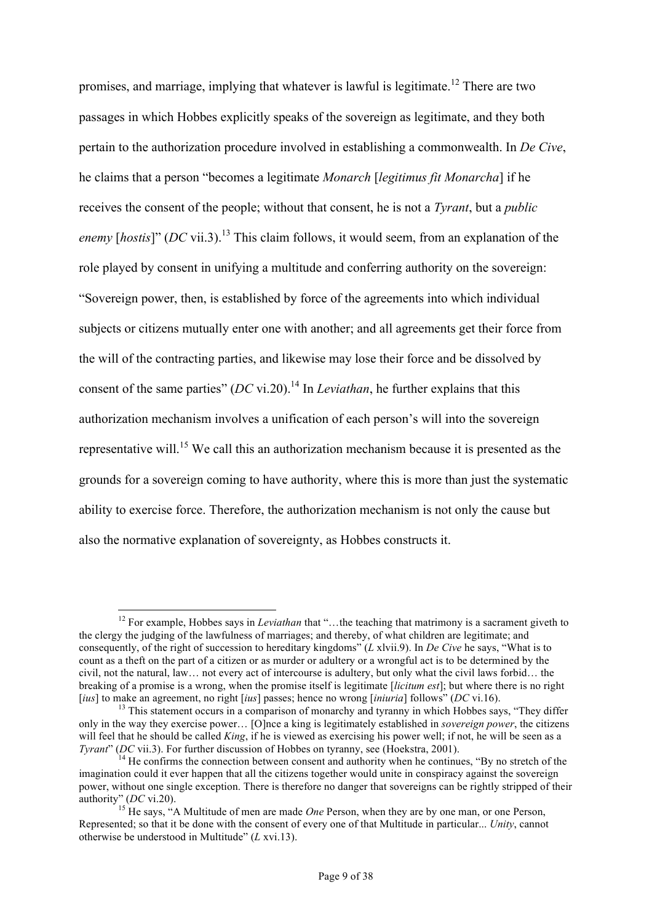promises, and marriage, implying that whatever is lawful is legitimate.<sup>12</sup> There are two passages in which Hobbes explicitly speaks of the sovereign as legitimate, and they both pertain to the authorization procedure involved in establishing a commonwealth. In *De Cive*, he claims that a person "becomes a legitimate *Monarch* [*legitimus fit Monarcha*] if he receives the consent of the people; without that consent, he is not a *Tyrant*, but a *public enemy* [*hostis*]" (*DC* vii.3). <sup>13</sup> This claim follows, it would seem, from an explanation of the role played by consent in unifying a multitude and conferring authority on the sovereign: "Sovereign power, then, is established by force of the agreements into which individual subjects or citizens mutually enter one with another; and all agreements get their force from the will of the contracting parties, and likewise may lose their force and be dissolved by consent of the same parties"  $(DC \text{ vi.20})$ .<sup>14</sup> In *Leviathan*, he further explains that this authorization mechanism involves a unification of each person's will into the sovereign representative will.<sup>15</sup> We call this an authorization mechanism because it is presented as the grounds for a sovereign coming to have authority, where this is more than just the systematic ability to exercise force. Therefore, the authorization mechanism is not only the cause but also the normative explanation of sovereignty, as Hobbes constructs it.

<sup>&</sup>lt;sup>12</sup> For example, Hobbes says in *Leviathan* that "...the teaching that matrimony is a sacrament giveth to the clergy the judging of the lawfulness of marriages; and thereby, of what children are legitimate; and consequently, of the right of succession to hereditary kingdoms" (*L* xlvii.9). In *De Cive* he says, "What is to count as a theft on the part of a citizen or as murder or adultery or a wrongful act is to be determined by the civil, not the natural, law… not every act of intercourse is adultery, but only what the civil laws forbid… the breaking of a promise is a wrong, when the promise itself is legitimate [*licitum est*]; but where there is no right [*ius*] to make an agreement, no right [*ius*] passes; hence no wrong [*iniuria*] follows" (*DC* vi.16). <sup>13</sup> This statement occurs in a comparison of monarchy and tyranny in which Hobbes says, "They differ

only in the way they exercise power… [O]nce a king is legitimately established in *sovereign power*, the citizens will feel that he should be called *King*, if he is viewed as exercising his power well; if not, he will be seen as a *Tyrant*" (*DC* vii.3). For further discussion of Hobbes on tyranny, see (Hoekstra, 2001).

<sup>&</sup>lt;sup>14</sup> He confirms the connection between consent and authority when he continues, "By no stretch of the imagination could it ever happen that all the citizens together would unite in conspiracy against the sovereign power, without one single exception. There is therefore no danger that sovereigns can be rightly stripped of their

authority" (*DC* vi.20).<br><sup>15</sup> He says, "A Multitude of men are made *One* Person, when they are by one man, or one Person, Represented; so that it be done with the consent of every one of that Multitude in particular... *Unity*, cannot otherwise be understood in Multitude" (*L* xvi.13).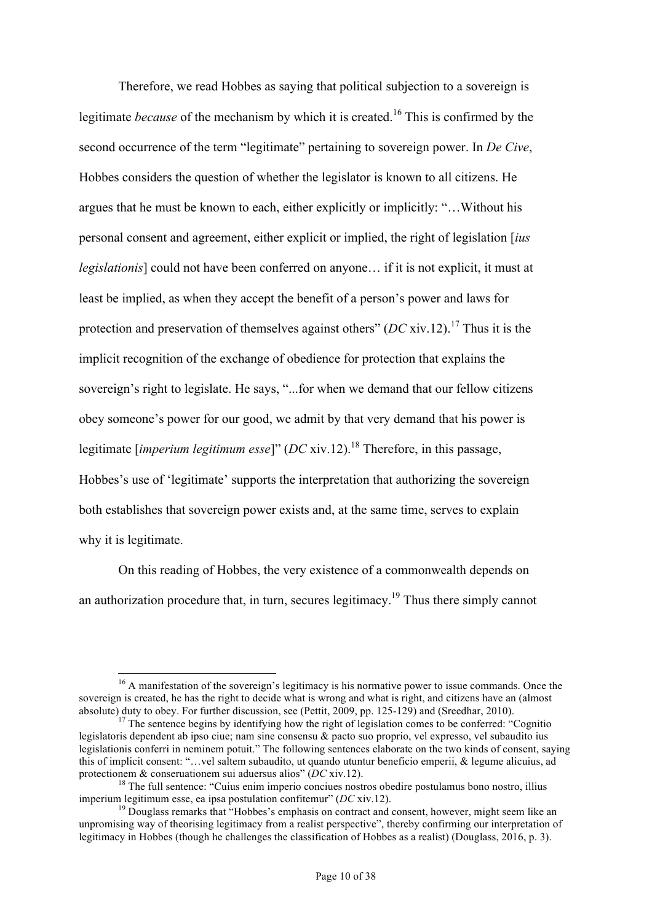Therefore, we read Hobbes as saying that political subjection to a sovereign is legitimate *because* of the mechanism by which it is created.<sup>16</sup> This is confirmed by the second occurrence of the term "legitimate" pertaining to sovereign power. In *De Cive*, Hobbes considers the question of whether the legislator is known to all citizens. He argues that he must be known to each, either explicitly or implicitly: "…Without his personal consent and agreement, either explicit or implied, the right of legislation [*ius legislationis*] could not have been conferred on anyone… if it is not explicit, it must at least be implied, as when they accept the benefit of a person's power and laws for protection and preservation of themselves against others" (*DC* xiv.12). <sup>17</sup> Thus it is the implicit recognition of the exchange of obedience for protection that explains the sovereign's right to legislate. He says, "...for when we demand that our fellow citizens obey someone's power for our good, we admit by that very demand that his power is legitimate [*imperium legitimum esse*]" (*DC* xiv.12). <sup>18</sup> Therefore, in this passage, Hobbes's use of 'legitimate' supports the interpretation that authorizing the sovereign both establishes that sovereign power exists and, at the same time, serves to explain why it is legitimate.

On this reading of Hobbes, the very existence of a commonwealth depends on an authorization procedure that, in turn, secures legitimacy.19 Thus there simply cannot

<sup>&</sup>lt;sup>16</sup> A manifestation of the sovereign's legitimacy is his normative power to issue commands. Once the sovereign is created, he has the right to decide what is wrong and what is right, and citizens have an (almost absolute) duty to obey. For further discussion, see (Pettit, 2009, pp. 125-129) and (Sreedhar, 2010). <sup>17</sup> The sentence begins by identifying how the right of legislation comes to be conferred: "Cognitio

legislatoris dependent ab ipso ciue; nam sine consensu & pacto suo proprio, vel expresso, vel subaudito ius legislationis conferri in neminem potuit." The following sentences elaborate on the two kinds of consent, saying this of implicit consent: "...vel saltem subaudito, ut quando utuntur beneficio emperii, & legume alicuius, ad protectionem & conseruationem sui aduersus alios" (DC xiv.12).

<sup>&</sup>lt;sup>18</sup> The full sentence: "Cuius enim imperio conciues nostros obedire postulamus bono nostro, illius imperium legitimum esse, ea ipsa postulation confitemur" (*DC* xiv.12).

<sup>&</sup>lt;sup>19</sup> Douglass remarks that "Hobbes's emphasis on contract and consent, however, might seem like an unpromising way of theorising legitimacy from a realist perspective", thereby confirming our interpretation of legitimacy in Hobbes (though he challenges the classification of Hobbes as a realist) (Douglass, 2016, p. 3).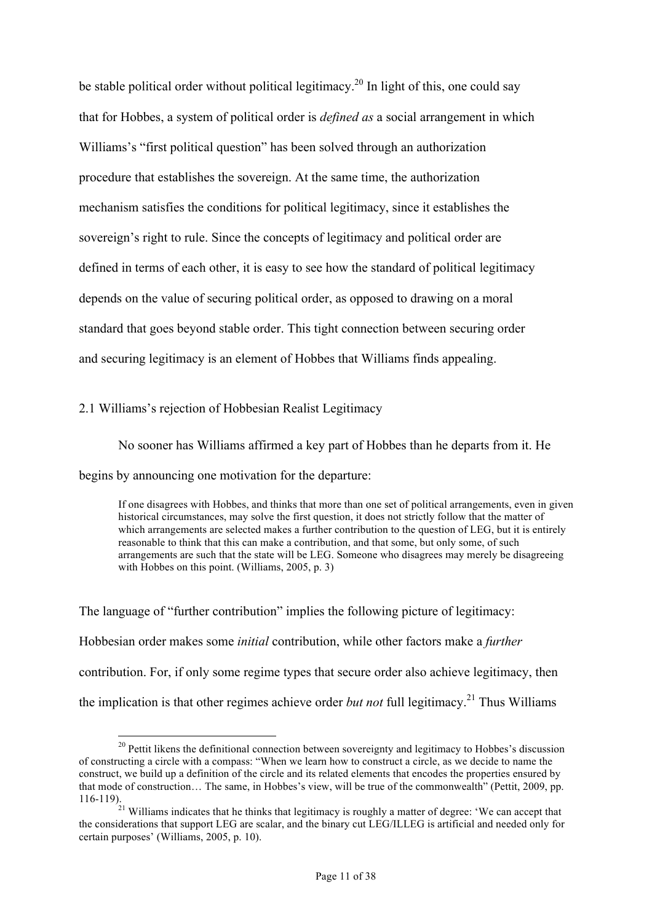be stable political order without political legitimacy.<sup>20</sup> In light of this, one could say that for Hobbes, a system of political order is *defined as* a social arrangement in which Williams's "first political question" has been solved through an authorization procedure that establishes the sovereign. At the same time, the authorization mechanism satisfies the conditions for political legitimacy, since it establishes the sovereign's right to rule. Since the concepts of legitimacy and political order are defined in terms of each other, it is easy to see how the standard of political legitimacy depends on the value of securing political order, as opposed to drawing on a moral standard that goes beyond stable order. This tight connection between securing order and securing legitimacy is an element of Hobbes that Williams finds appealing.

#### 2.1 Williams's rejection of Hobbesian Realist Legitimacy

No sooner has Williams affirmed a key part of Hobbes than he departs from it. He

begins by announcing one motivation for the departure:

If one disagrees with Hobbes, and thinks that more than one set of political arrangements, even in given historical circumstances, may solve the first question, it does not strictly follow that the matter of which arrangements are selected makes a further contribution to the question of LEG, but it is entirely reasonable to think that this can make a contribution, and that some, but only some, of such arrangements are such that the state will be LEG. Someone who disagrees may merely be disagreeing with Hobbes on this point. (Williams, 2005, p. 3)

The language of "further contribution" implies the following picture of legitimacy: Hobbesian order makes some *initial* contribution, while other factors make a *further* contribution. For, if only some regime types that secure order also achieve legitimacy, then the implication is that other regimes achieve order *but not* full legitimacy.<sup>21</sup> Thus Williams

<sup>&</sup>lt;sup>20</sup> Pettit likens the definitional connection between sovereignty and legitimacy to Hobbes's discussion of constructing a circle with a compass: "When we learn how to construct a circle, as we decide to name the construct, we build up a definition of the circle and its related elements that encodes the properties ensured by that mode of construction… The same, in Hobbes's view, will be true of the commonwealth" (Pettit, 2009, pp. 116-119).

 $21$  Williams indicates that he thinks that legitimacy is roughly a matter of degree: 'We can accept that the considerations that support LEG are scalar, and the binary cut LEG/ILLEG is artificial and needed only for certain purposes' (Williams, 2005, p. 10).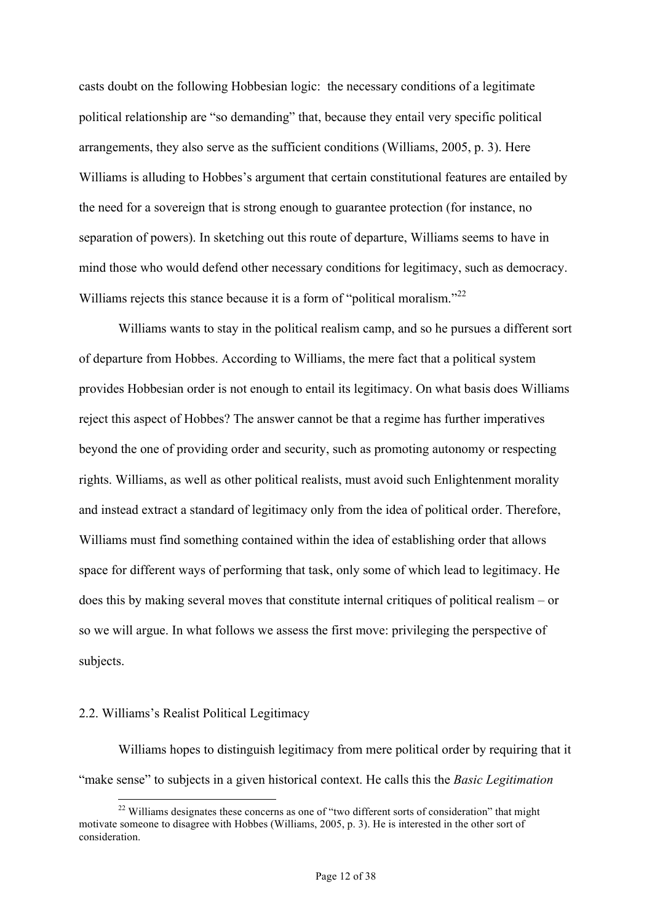casts doubt on the following Hobbesian logic: the necessary conditions of a legitimate political relationship are "so demanding" that, because they entail very specific political arrangements, they also serve as the sufficient conditions (Williams, 2005, p. 3). Here Williams is alluding to Hobbes's argument that certain constitutional features are entailed by the need for a sovereign that is strong enough to guarantee protection (for instance, no separation of powers). In sketching out this route of departure, Williams seems to have in mind those who would defend other necessary conditions for legitimacy, such as democracy. Williams rejects this stance because it is a form of "political moralism."<sup>22</sup>

Williams wants to stay in the political realism camp, and so he pursues a different sort of departure from Hobbes. According to Williams, the mere fact that a political system provides Hobbesian order is not enough to entail its legitimacy. On what basis does Williams reject this aspect of Hobbes? The answer cannot be that a regime has further imperatives beyond the one of providing order and security, such as promoting autonomy or respecting rights. Williams, as well as other political realists, must avoid such Enlightenment morality and instead extract a standard of legitimacy only from the idea of political order. Therefore, Williams must find something contained within the idea of establishing order that allows space for different ways of performing that task, only some of which lead to legitimacy. He does this by making several moves that constitute internal critiques of political realism – or so we will argue. In what follows we assess the first move: privileging the perspective of subjects.

#### 2.2. Williams's Realist Political Legitimacy

Williams hopes to distinguish legitimacy from mere political order by requiring that it "make sense" to subjects in a given historical context. He calls this the *Basic Legitimation* 

 $^{22}$  Williams designates these concerns as one of "two different sorts of consideration" that might motivate someone to disagree with Hobbes (Williams, 2005, p. 3). He is interested in the other sort of consideration.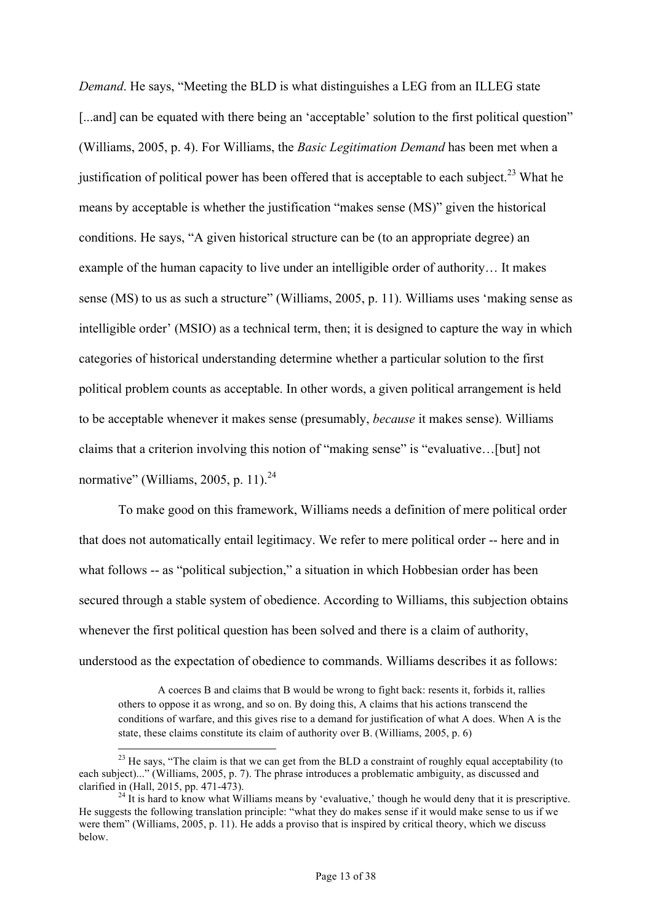*Demand*. He says, "Meeting the BLD is what distinguishes a LEG from an ILLEG state [...and] can be equated with there being an 'acceptable' solution to the first political question" (Williams, 2005, p. 4). For Williams, the *Basic Legitimation Demand* has been met when a justification of political power has been offered that is acceptable to each subject.<sup>23</sup> What he means by acceptable is whether the justification "makes sense (MS)" given the historical conditions. He says, "A given historical structure can be (to an appropriate degree) an example of the human capacity to live under an intelligible order of authority… It makes sense (MS) to us as such a structure" (Williams, 2005, p. 11). Williams uses 'making sense as intelligible order' (MSIO) as a technical term, then; it is designed to capture the way in which categories of historical understanding determine whether a particular solution to the first political problem counts as acceptable. In other words, a given political arrangement is held to be acceptable whenever it makes sense (presumably, *because* it makes sense). Williams claims that a criterion involving this notion of "making sense" is "evaluative…[but] not normative" (Williams, 2005, p. 11). $^{24}$ 

To make good on this framework, Williams needs a definition of mere political order that does not automatically entail legitimacy. We refer to mere political order -- here and in what follows -- as "political subjection," a situation in which Hobbesian order has been secured through a stable system of obedience. According to Williams, this subjection obtains whenever the first political question has been solved and there is a claim of authority. understood as the expectation of obedience to commands. Williams describes it as follows:

A coerces B and claims that B would be wrong to fight back: resents it, forbids it, rallies others to oppose it as wrong, and so on. By doing this, A claims that his actions transcend the conditions of warfare, and this gives rise to a demand for justification of what A does. When A is the state, these claims constitute its claim of authority over B. (Williams, 2005, p. 6)

 $^{23}$  He says, "The claim is that we can get from the BLD a constraint of roughly equal acceptability (to each subject)..." (Williams, 2005, p. 7). The phrase introduces a problematic ambiguity, as discussed and clarified in (Hall, 2015, pp. 471-473).

 $^{24}$  It is hard to know what Williams means by 'evaluative,' though he would deny that it is prescriptive. He suggests the following translation principle: "what they do makes sense if it would make sense to us if we were them" (Williams, 2005, p. 11). He adds a proviso that is inspired by critical theory, which we discuss below.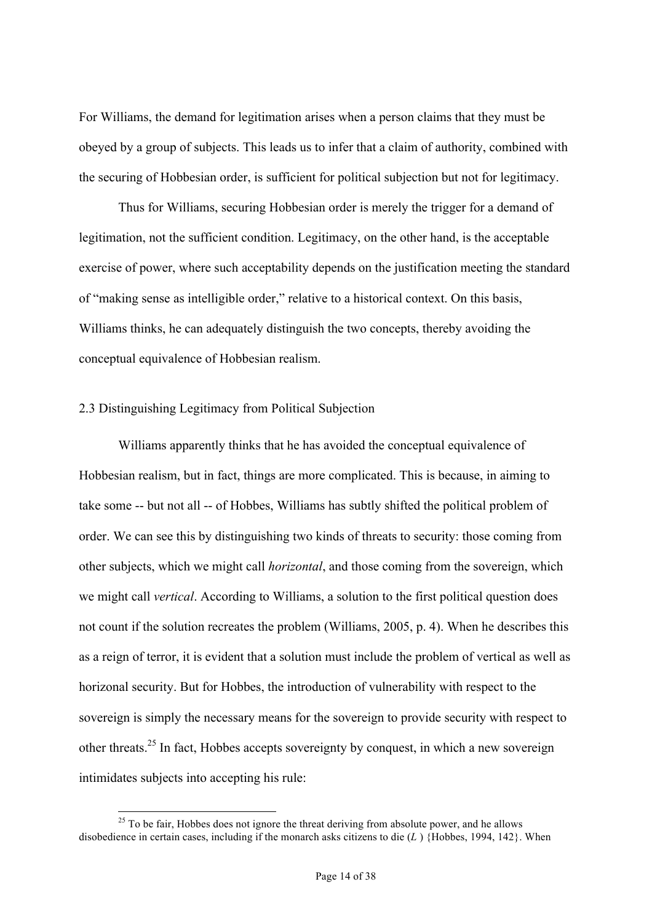For Williams, the demand for legitimation arises when a person claims that they must be obeyed by a group of subjects. This leads us to infer that a claim of authority, combined with the securing of Hobbesian order, is sufficient for political subjection but not for legitimacy.

Thus for Williams, securing Hobbesian order is merely the trigger for a demand of legitimation, not the sufficient condition. Legitimacy, on the other hand, is the acceptable exercise of power, where such acceptability depends on the justification meeting the standard of "making sense as intelligible order," relative to a historical context. On this basis, Williams thinks, he can adequately distinguish the two concepts, thereby avoiding the conceptual equivalence of Hobbesian realism.

#### 2.3 Distinguishing Legitimacy from Political Subjection

Williams apparently thinks that he has avoided the conceptual equivalence of Hobbesian realism, but in fact, things are more complicated. This is because, in aiming to take some -- but not all -- of Hobbes, Williams has subtly shifted the political problem of order. We can see this by distinguishing two kinds of threats to security: those coming from other subjects, which we might call *horizontal*, and those coming from the sovereign, which we might call *vertical*. According to Williams, a solution to the first political question does not count if the solution recreates the problem (Williams, 2005, p. 4). When he describes this as a reign of terror, it is evident that a solution must include the problem of vertical as well as horizonal security. But for Hobbes, the introduction of vulnerability with respect to the sovereign is simply the necessary means for the sovereign to provide security with respect to other threats.25 In fact, Hobbes accepts sovereignty by conquest, in which a new sovereign intimidates subjects into accepting his rule:

 $25$  To be fair. Hobbes does not ignore the threat deriving from absolute power, and he allows disobedience in certain cases, including if the monarch asks citizens to die (*L* ) {Hobbes, 1994, 142}. When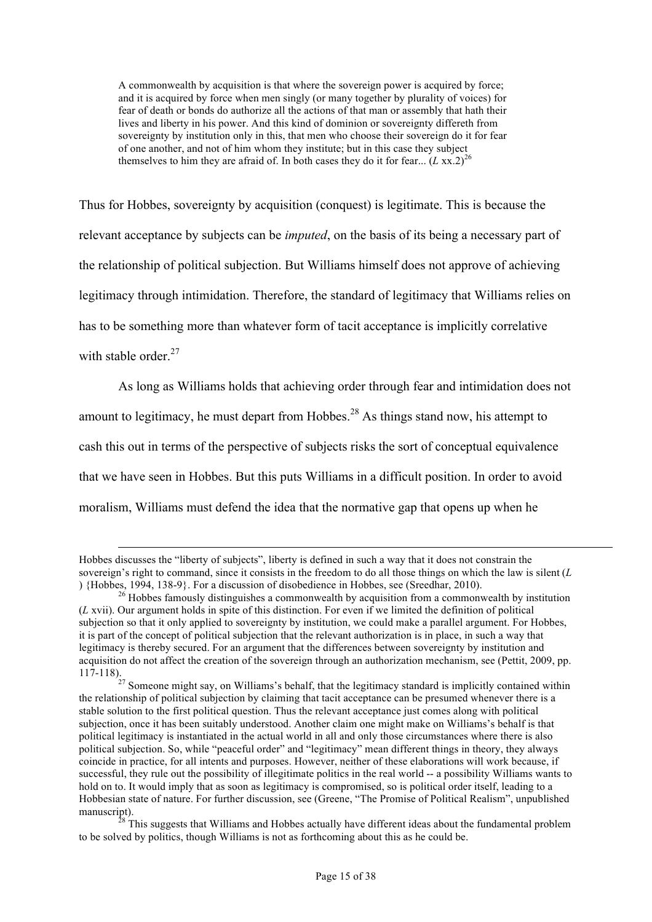A commonwealth by acquisition is that where the sovereign power is acquired by force; and it is acquired by force when men singly (or many together by plurality of voices) for fear of death or bonds do authorize all the actions of that man or assembly that hath their lives and liberty in his power. And this kind of dominion or sovereignty differeth from sovereignty by institution only in this, that men who choose their sovereign do it for fear of one another, and not of him whom they institute; but in this case they subject themselves to him they are afraid of. In both cases they do it for fear...  $(L \, xx.2)^{26}$ 

Thus for Hobbes, sovereignty by acquisition (conquest) is legitimate. This is because the relevant acceptance by subjects can be *imputed*, on the basis of its being a necessary part of the relationship of political subjection. But Williams himself does not approve of achieving legitimacy through intimidation. Therefore, the standard of legitimacy that Williams relies on has to be something more than whatever form of tacit acceptance is implicitly correlative with stable order  $27$ 

As long as Williams holds that achieving order through fear and intimidation does not amount to legitimacy, he must depart from Hobbes.<sup>28</sup> As things stand now, his attempt to cash this out in terms of the perspective of subjects risks the sort of conceptual equivalence that we have seen in Hobbes. But this puts Williams in a difficult position. In order to avoid moralism, Williams must defend the idea that the normative gap that opens up when he

 $\overline{a}$ 

Hobbes discusses the "liberty of subjects", liberty is defined in such a way that it does not constrain the sovereign's right to command, since it consists in the freedom to do all those things on which the law is silent (*L* ) {Hobbes, 1994, 138-9}. For a discussion of disobedience in Hobbes, see (Sreedhar, 2010). <sup>26</sup> Hobbes famously distinguishes a commonwealth by acquisition from a commonwealth by institution

<sup>(</sup>*L* xvii). Our argument holds in spite of this distinction. For even if we limited the definition of political subjection so that it only applied to sovereignty by institution, we could make a parallel argument. For Hobbes, it is part of the concept of political subjection that the relevant authorization is in place, in such a way that legitimacy is thereby secured. For an argument that the differences between sovereignty by institution and acquisition do not affect the creation of the sovereign through an authorization mechanism, see (Pettit, 2009, pp. 117-118).

 $27$  Someone might say, on Williams's behalf, that the legitimacy standard is implicitly contained within the relationship of political subjection by claiming that tacit acceptance can be presumed whenever there is a stable solution to the first political question. Thus the relevant acceptance just comes along with political subjection, once it has been suitably understood. Another claim one might make on Williams's behalf is that political legitimacy is instantiated in the actual world in all and only those circumstances where there is also political subjection. So, while "peaceful order" and "legitimacy" mean different things in theory, they always coincide in practice, for all intents and purposes. However, neither of these elaborations will work because, if successful, they rule out the possibility of illegitimate politics in the real world -- a possibility Williams wants to hold on to. It would imply that as soon as legitimacy is compromised, so is political order itself, leading to a Hobbesian state of nature. For further discussion, see (Greene, "The Promise of Political Realism", unpublished

This suggests that Williams and Hobbes actually have different ideas about the fundamental problem to be solved by politics, though Williams is not as forthcoming about this as he could be.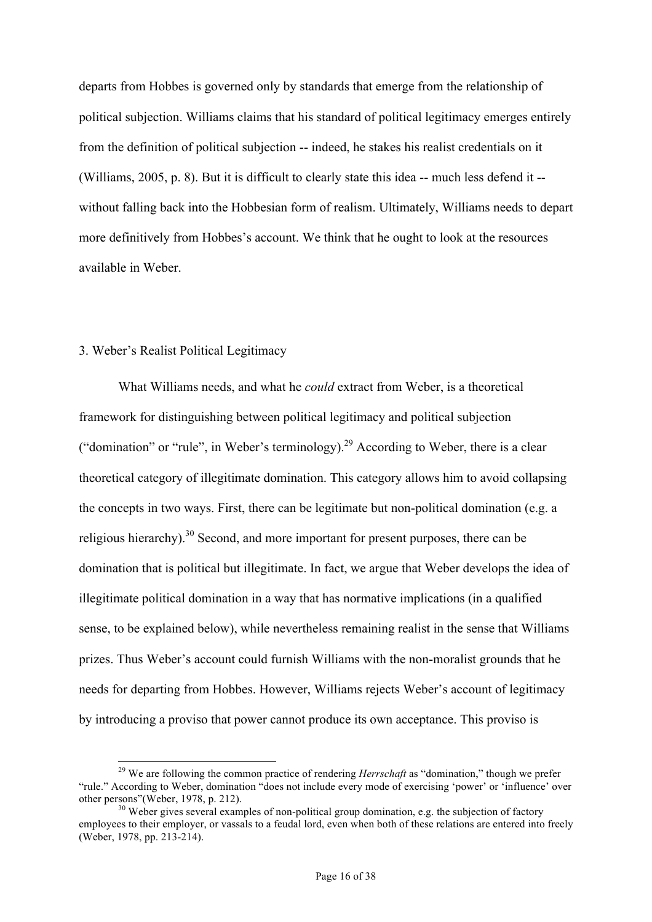departs from Hobbes is governed only by standards that emerge from the relationship of political subjection. Williams claims that his standard of political legitimacy emerges entirely from the definition of political subjection -- indeed, he stakes his realist credentials on it (Williams, 2005, p. 8). But it is difficult to clearly state this idea -- much less defend it - without falling back into the Hobbesian form of realism. Ultimately, Williams needs to depart more definitively from Hobbes's account. We think that he ought to look at the resources available in Weber.

#### 3. Weber's Realist Political Legitimacy

What Williams needs, and what he *could* extract from Weber, is a theoretical framework for distinguishing between political legitimacy and political subjection ("domination" or "rule", in Weber's terminology).29 According to Weber, there is a clear theoretical category of illegitimate domination. This category allows him to avoid collapsing the concepts in two ways. First, there can be legitimate but non-political domination (e.g. a religious hierarchy).<sup>30</sup> Second, and more important for present purposes, there can be domination that is political but illegitimate. In fact, we argue that Weber develops the idea of illegitimate political domination in a way that has normative implications (in a qualified sense, to be explained below), while nevertheless remaining realist in the sense that Williams prizes. Thus Weber's account could furnish Williams with the non-moralist grounds that he needs for departing from Hobbes. However, Williams rejects Weber's account of legitimacy by introducing a proviso that power cannot produce its own acceptance. This proviso is

<sup>&</sup>lt;sup>29</sup> We are following the common practice of rendering *Herrschaft* as "domination," though we prefer "rule." According to Weber, domination "does not include every mode of exercising 'power' or 'influence' over other persons"(Weber, 1978, p. 212).<br><sup>30</sup> Weber gives several examples of non-political group domination, e.g. the subjection of factory

employees to their employer, or vassals to a feudal lord, even when both of these relations are entered into freely (Weber, 1978, pp. 213-214).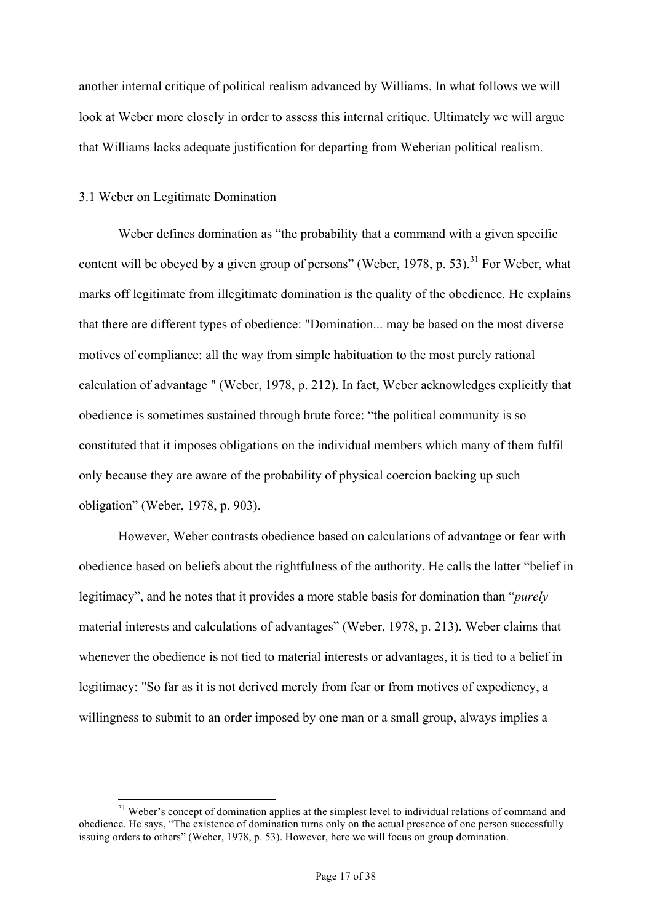another internal critique of political realism advanced by Williams. In what follows we will look at Weber more closely in order to assess this internal critique. Ultimately we will argue that Williams lacks adequate justification for departing from Weberian political realism.

#### 3.1 Weber on Legitimate Domination

Weber defines domination as "the probability that a command with a given specific content will be obeyed by a given group of persons" (Weber, 1978, p. 53).<sup>31</sup> For Weber, what marks off legitimate from illegitimate domination is the quality of the obedience. He explains that there are different types of obedience: "Domination... may be based on the most diverse motives of compliance: all the way from simple habituation to the most purely rational calculation of advantage " (Weber, 1978, p. 212). In fact, Weber acknowledges explicitly that obedience is sometimes sustained through brute force: "the political community is so constituted that it imposes obligations on the individual members which many of them fulfil only because they are aware of the probability of physical coercion backing up such obligation" (Weber, 1978, p. 903).

However, Weber contrasts obedience based on calculations of advantage or fear with obedience based on beliefs about the rightfulness of the authority. He calls the latter "belief in legitimacy", and he notes that it provides a more stable basis for domination than "*purely*  material interests and calculations of advantages" (Weber, 1978, p. 213). Weber claims that whenever the obedience is not tied to material interests or advantages, it is tied to a belief in legitimacy: "So far as it is not derived merely from fear or from motives of expediency, a willingness to submit to an order imposed by one man or a small group, always implies a

 $31$  Weber's concept of domination applies at the simplest level to individual relations of command and obedience. He says, "The existence of domination turns only on the actual presence of one person successfully issuing orders to others" (Weber, 1978, p. 53). However, here we will focus on group domination.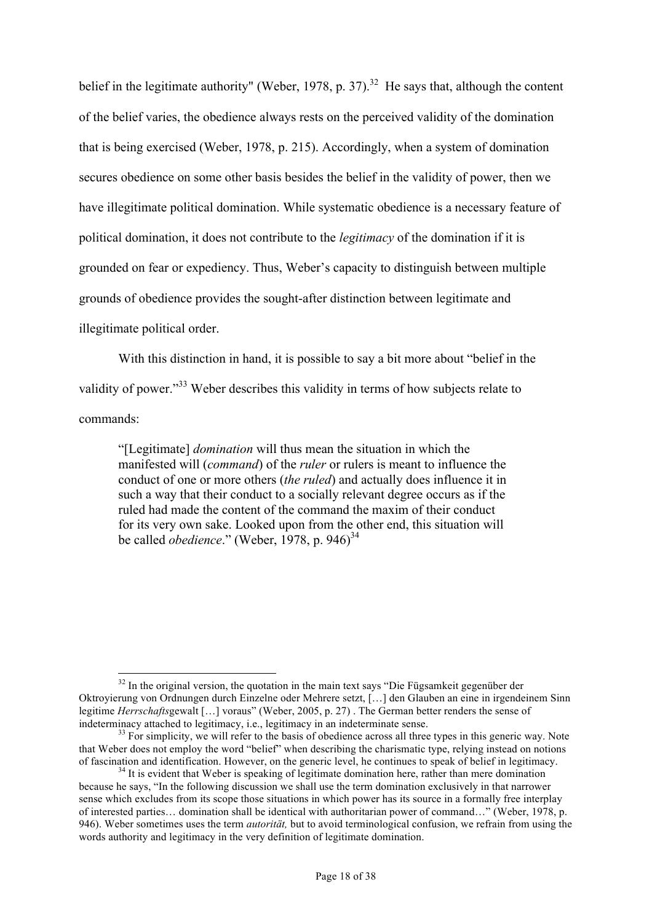belief in the legitimate authority" (Weber, 1978, p. 37).<sup>32</sup> He says that, although the content of the belief varies, the obedience always rests on the perceived validity of the domination that is being exercised (Weber, 1978, p. 215). Accordingly, when a system of domination secures obedience on some other basis besides the belief in the validity of power, then we have illegitimate political domination. While systematic obedience is a necessary feature of political domination, it does not contribute to the *legitimacy* of the domination if it is grounded on fear or expediency. Thus, Weber's capacity to distinguish between multiple grounds of obedience provides the sought-after distinction between legitimate and illegitimate political order.

With this distinction in hand, it is possible to say a bit more about "belief in the validity of power.<sup>33</sup> Weber describes this validity in terms of how subjects relate to commands:

"[Legitimate] *domination* will thus mean the situation in which the manifested will (*command*) of the *ruler* or rulers is meant to influence the conduct of one or more others (*the ruled*) and actually does influence it in such a way that their conduct to a socially relevant degree occurs as if the ruled had made the content of the command the maxim of their conduct for its very own sake. Looked upon from the other end, this situation will be called *obedience*." (Weber, 1978, p. 946) 34

 $32$  In the original version, the quotation in the main text says "Die Fügsamkeit gegenüber der Oktroyierung von Ordnungen durch Einzelne oder Mehrere setzt, […] den Glauben an eine in irgendeinem Sinn legitime *Herrschafts*gewalt […] voraus" (Weber, 2005, p. 27) . The German better renders the sense of indeterminacy attached to legitimacy, i.e., legitimacy in an indeterminate sense.<br><sup>33</sup> For simplicity, we will refer to the basis of obedience across all three types in this generic way. Note

that Weber does not employ the word "belief" when describing the charismatic type, relying instead on notions of fascination and identification. However, on the generic level, he continues to speak of belief in legitimacy.

 $34$  It is evident that Weber is speaking of legitimate domination here, rather than mere domination because he says, "In the following discussion we shall use the term domination exclusively in that narrower sense which excludes from its scope those situations in which power has its source in a formally free interplay of interested parties… domination shall be identical with authoritarian power of command…" (Weber, 1978, p. 946). Weber sometimes uses the term *autorität,* but to avoid terminological confusion, we refrain from using the words authority and legitimacy in the very definition of legitimate domination.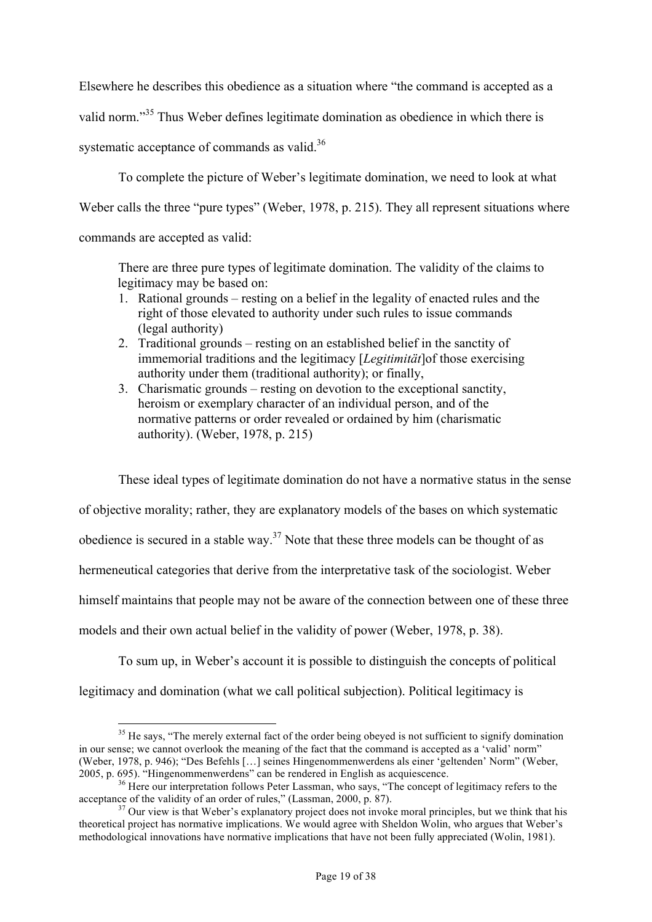Elsewhere he describes this obedience as a situation where "the command is accepted as a valid norm."<sup>35</sup> Thus Weber defines legitimate domination as obedience in which there is systematic acceptance of commands as valid.<sup>36</sup>

To complete the picture of Weber's legitimate domination, we need to look at what Weber calls the three "pure types" (Weber, 1978, p. 215). They all represent situations where commands are accepted as valid:

There are three pure types of legitimate domination. The validity of the claims to legitimacy may be based on:

- 1. Rational grounds resting on a belief in the legality of enacted rules and the right of those elevated to authority under such rules to issue commands (legal authority)
- 2. Traditional grounds resting on an established belief in the sanctity of immemorial traditions and the legitimacy [*Legitimität*]of those exercising authority under them (traditional authority); or finally,
- 3. Charismatic grounds resting on devotion to the exceptional sanctity, heroism or exemplary character of an individual person, and of the normative patterns or order revealed or ordained by him (charismatic authority). (Weber, 1978, p. 215)

These ideal types of legitimate domination do not have a normative status in the sense

of objective morality; rather, they are explanatory models of the bases on which systematic obedience is secured in a stable way.<sup>37</sup> Note that these three models can be thought of as hermeneutical categories that derive from the interpretative task of the sociologist. Weber himself maintains that people may not be aware of the connection between one of these three models and their own actual belief in the validity of power (Weber, 1978, p. 38).

To sum up, in Weber's account it is possible to distinguish the concepts of political legitimacy and domination (what we call political subjection). Political legitimacy is

<sup>&</sup>lt;sup>35</sup> He says, "The merely external fact of the order being obeyed is not sufficient to signify domination in our sense; we cannot overlook the meaning of the fact that the command is accepted as a 'valid' norm" (Weber, 1978, p. 946); "Des Befehls […] seines Hingenommenwerdens als einer 'geltenden' Norm" (Weber,

 $\frac{2005}{36}$  Here our interpretation follows Peter Lassman, who says, "The concept of legitimacy refers to the acceptance of the validity of an order of rules," (Lassman, 2000, p. 87).

<sup>&</sup>lt;sup>7</sup> Our view is that Weber's explanatory project does not invoke moral principles, but we think that his theoretical project has normative implications. We would agree with Sheldon Wolin, who argues that Weber's methodological innovations have normative implications that have not been fully appreciated (Wolin, 1981).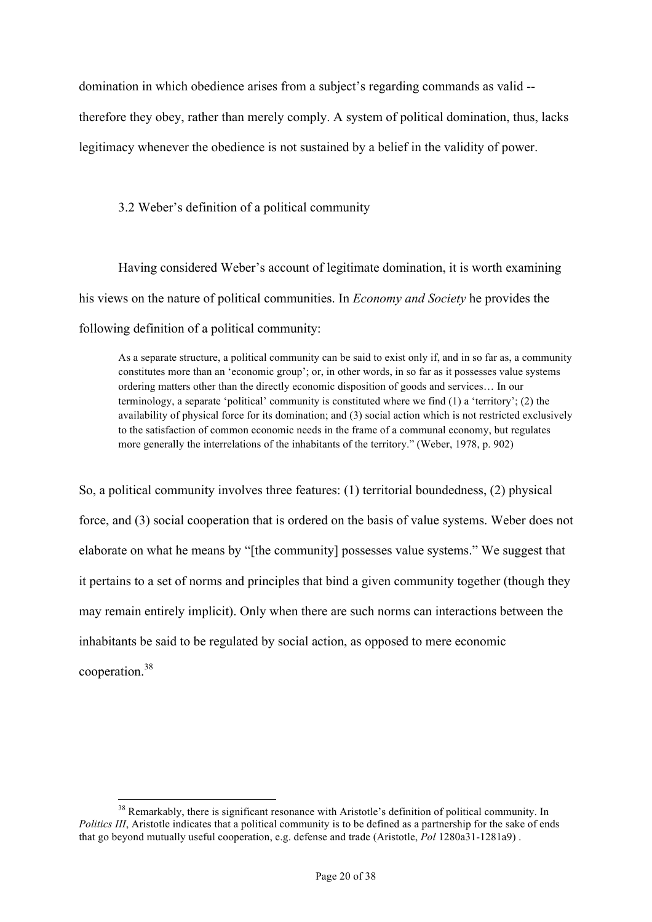domination in which obedience arises from a subject's regarding commands as valid --

therefore they obey, rather than merely comply. A system of political domination, thus, lacks

legitimacy whenever the obedience is not sustained by a belief in the validity of power.

3.2 Weber's definition of a political community

Having considered Weber's account of legitimate domination, it is worth examining his views on the nature of political communities. In *Economy and Society* he provides the following definition of a political community:

As a separate structure, a political community can be said to exist only if, and in so far as, a community constitutes more than an 'economic group'; or, in other words, in so far as it possesses value systems ordering matters other than the directly economic disposition of goods and services… In our terminology, a separate 'political' community is constituted where we find (1) a 'territory'; (2) the availability of physical force for its domination; and (3) social action which is not restricted exclusively to the satisfaction of common economic needs in the frame of a communal economy, but regulates more generally the interrelations of the inhabitants of the territory." (Weber, 1978, p. 902)

So, a political community involves three features: (1) territorial boundedness, (2) physical force, and (3) social cooperation that is ordered on the basis of value systems. Weber does not elaborate on what he means by "[the community] possesses value systems." We suggest that it pertains to a set of norms and principles that bind a given community together (though they may remain entirely implicit). Only when there are such norms can interactions between the inhabitants be said to be regulated by social action, as opposed to mere economic cooperation. 38

<sup>&</sup>lt;sup>38</sup> Remarkably, there is significant resonance with Aristotle's definition of political community. In *Politics III*, Aristotle indicates that a political community is to be defined as a partnership for the sake of ends that go beyond mutually useful cooperation, e.g. defense and trade (Aristotle, *Pol* 1280a31-1281a9) .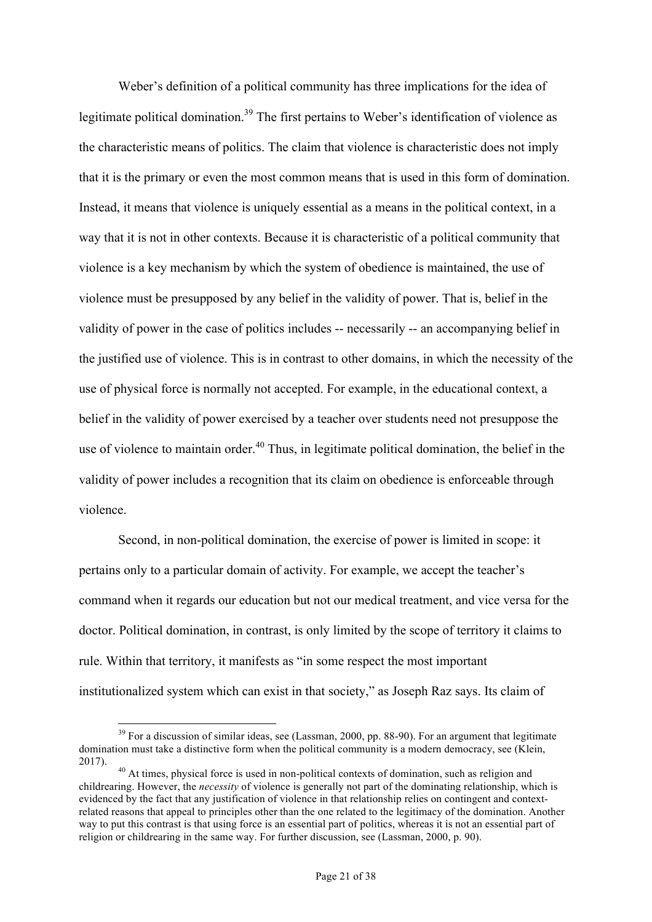Weber's definition of a political community has three implications for the idea of legitimate political domination.<sup>39</sup> The first pertains to Weber's identification of violence as the characteristic means of politics. The claim that violence is characteristic does not imply that it is the primary or even the most common means that is used in this form of domination. Instead, it means that violence is uniquely essential as a means in the political context, in a way that it is not in other contexts. Because it is characteristic of a political community that violence is a key mechanism by which the system of obedience is maintained, the use of violence must be presupposed by any belief in the validity of power. That is, belief in the validity of power in the case of politics includes -- necessarily -- an accompanying belief in the justified use of violence. This is in contrast to other domains, in which the necessity of the use of physical force is normally not accepted. For example, in the educational context, a belief in the validity of power exercised by a teacher over students need not presuppose the use of violence to maintain order.<sup>40</sup> Thus, in legitimate political domination, the belief in the validity of power includes a recognition that its claim on obedience is enforceable through violence.

Second, in non-political domination, the exercise of power is limited in scope: it pertains only to a particular domain of activity. For example, we accept the teacher's command when it regards our education but not our medical treatment, and vice versa for the doctor. Political domination, in contrast, is only limited by the scope of territory it claims to rule. Within that territory, it manifests as "in some respect the most important institutionalized system which can exist in that society," as Joseph Raz says. Its claim of

<sup>&</sup>lt;sup>39</sup> For a discussion of similar ideas, see (Lassman, 2000, pp. 88-90). For an argument that legitimate domination must take a distinctive form when the political community is a modern democracy, see (Klein,

<sup>2017).</sup> <sup>40</sup> At times, physical force is used in non-political contexts of domination, such as religion and childrearing. However, the *necessity* of violence is generally not part of the dominating relationship, which is evidenced by the fact that any justification of violence in that relationship relies on contingent and contextrelated reasons that appeal to principles other than the one related to the legitimacy of the domination. Another way to put this contrast is that using force is an essential part of politics, whereas it is not an essential part of religion or childrearing in the same way. For further discussion, see (Lassman, 2000, p. 90).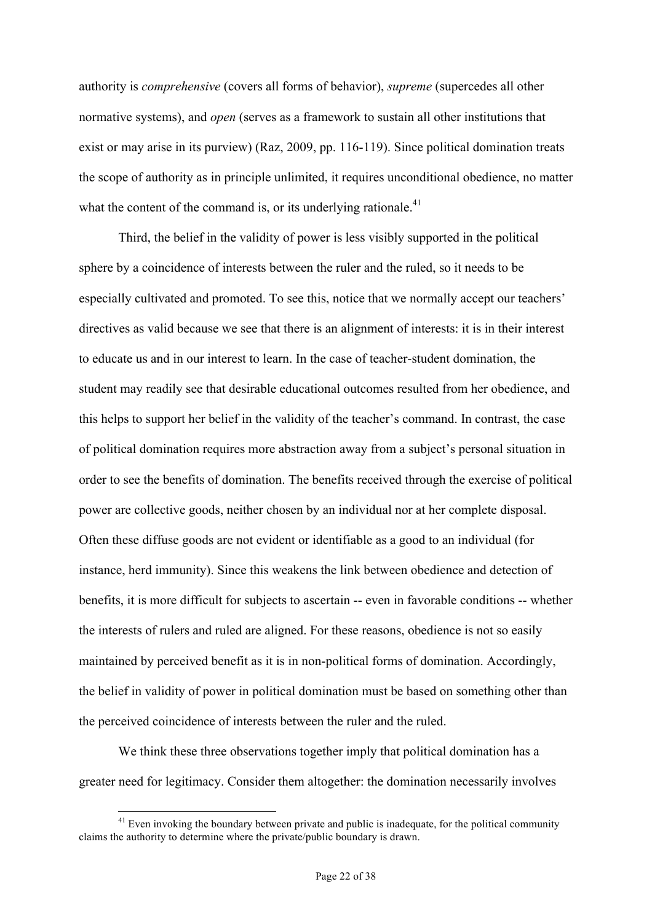authority is *comprehensive* (covers all forms of behavior), *supreme* (supercedes all other normative systems), and *open* (serves as a framework to sustain all other institutions that exist or may arise in its purview) (Raz, 2009, pp. 116-119). Since political domination treats the scope of authority as in principle unlimited, it requires unconditional obedience, no matter what the content of the command is, or its underlying rationale.<sup>41</sup>

Third, the belief in the validity of power is less visibly supported in the political sphere by a coincidence of interests between the ruler and the ruled, so it needs to be especially cultivated and promoted. To see this, notice that we normally accept our teachers' directives as valid because we see that there is an alignment of interests: it is in their interest to educate us and in our interest to learn. In the case of teacher-student domination, the student may readily see that desirable educational outcomes resulted from her obedience, and this helps to support her belief in the validity of the teacher's command. In contrast, the case of political domination requires more abstraction away from a subject's personal situation in order to see the benefits of domination. The benefits received through the exercise of political power are collective goods, neither chosen by an individual nor at her complete disposal. Often these diffuse goods are not evident or identifiable as a good to an individual (for instance, herd immunity). Since this weakens the link between obedience and detection of benefits, it is more difficult for subjects to ascertain -- even in favorable conditions -- whether the interests of rulers and ruled are aligned. For these reasons, obedience is not so easily maintained by perceived benefit as it is in non-political forms of domination. Accordingly, the belief in validity of power in political domination must be based on something other than the perceived coincidence of interests between the ruler and the ruled.

We think these three observations together imply that political domination has a greater need for legitimacy. Consider them altogether: the domination necessarily involves

 $41$  Even invoking the boundary between private and public is inadequate, for the political community claims the authority to determine where the private/public boundary is drawn.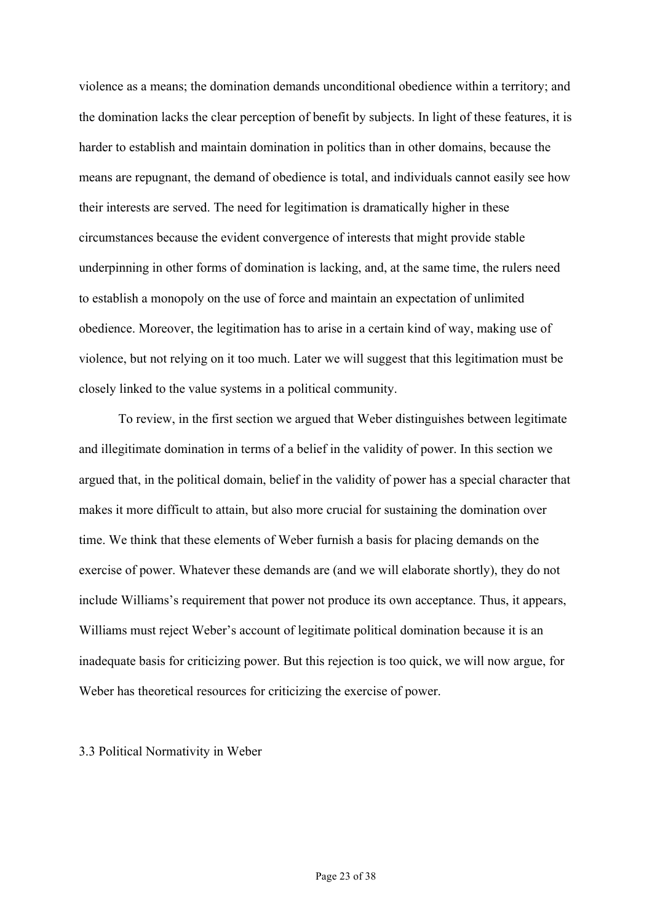violence as a means; the domination demands unconditional obedience within a territory; and the domination lacks the clear perception of benefit by subjects. In light of these features, it is harder to establish and maintain domination in politics than in other domains, because the means are repugnant, the demand of obedience is total, and individuals cannot easily see how their interests are served. The need for legitimation is dramatically higher in these circumstances because the evident convergence of interests that might provide stable underpinning in other forms of domination is lacking, and, at the same time, the rulers need to establish a monopoly on the use of force and maintain an expectation of unlimited obedience. Moreover, the legitimation has to arise in a certain kind of way, making use of violence, but not relying on it too much. Later we will suggest that this legitimation must be closely linked to the value systems in a political community.

To review, in the first section we argued that Weber distinguishes between legitimate and illegitimate domination in terms of a belief in the validity of power. In this section we argued that, in the political domain, belief in the validity of power has a special character that makes it more difficult to attain, but also more crucial for sustaining the domination over time. We think that these elements of Weber furnish a basis for placing demands on the exercise of power. Whatever these demands are (and we will elaborate shortly), they do not include Williams's requirement that power not produce its own acceptance. Thus, it appears, Williams must reject Weber's account of legitimate political domination because it is an inadequate basis for criticizing power. But this rejection is too quick, we will now argue, for Weber has theoretical resources for criticizing the exercise of power.

#### 3.3 Political Normativity in Weber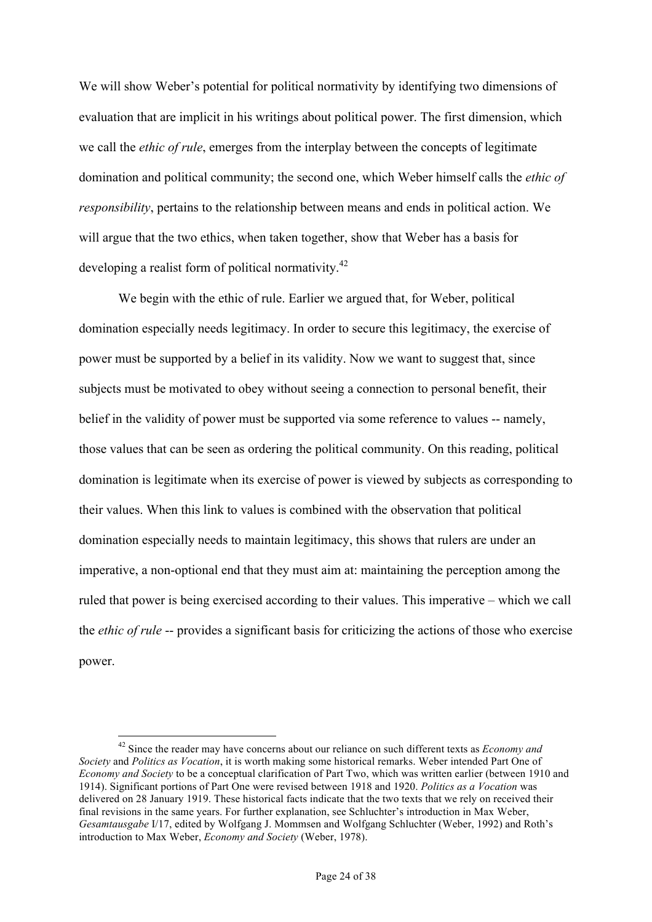We will show Weber's potential for political normativity by identifying two dimensions of evaluation that are implicit in his writings about political power. The first dimension, which we call the *ethic of rule*, emerges from the interplay between the concepts of legitimate domination and political community; the second one, which Weber himself calls the *ethic of responsibility*, pertains to the relationship between means and ends in political action. We will argue that the two ethics, when taken together, show that Weber has a basis for developing a realist form of political normativity.<sup>42</sup>

We begin with the ethic of rule. Earlier we argued that, for Weber, political domination especially needs legitimacy. In order to secure this legitimacy, the exercise of power must be supported by a belief in its validity. Now we want to suggest that, since subjects must be motivated to obey without seeing a connection to personal benefit, their belief in the validity of power must be supported via some reference to values -- namely, those values that can be seen as ordering the political community. On this reading, political domination is legitimate when its exercise of power is viewed by subjects as corresponding to their values. When this link to values is combined with the observation that political domination especially needs to maintain legitimacy, this shows that rulers are under an imperative, a non-optional end that they must aim at: maintaining the perception among the ruled that power is being exercised according to their values. This imperative – which we call the *ethic of rule* -- provides a significant basis for criticizing the actions of those who exercise power.

 <sup>42</sup> Since the reader may have concerns about our reliance on such different texts as *Economy and Society* and *Politics as Vocation*, it is worth making some historical remarks. Weber intended Part One of *Economy and Society* to be a conceptual clarification of Part Two, which was written earlier (between 1910 and 1914). Significant portions of Part One were revised between 1918 and 1920. *Politics as a Vocation* was delivered on 28 January 1919. These historical facts indicate that the two texts that we rely on received their final revisions in the same years. For further explanation, see Schluchter's introduction in Max Weber, *Gesamtausgabe* I/17, edited by Wolfgang J. Mommsen and Wolfgang Schluchter (Weber, 1992) and Roth's introduction to Max Weber, *Economy and Society* (Weber, 1978).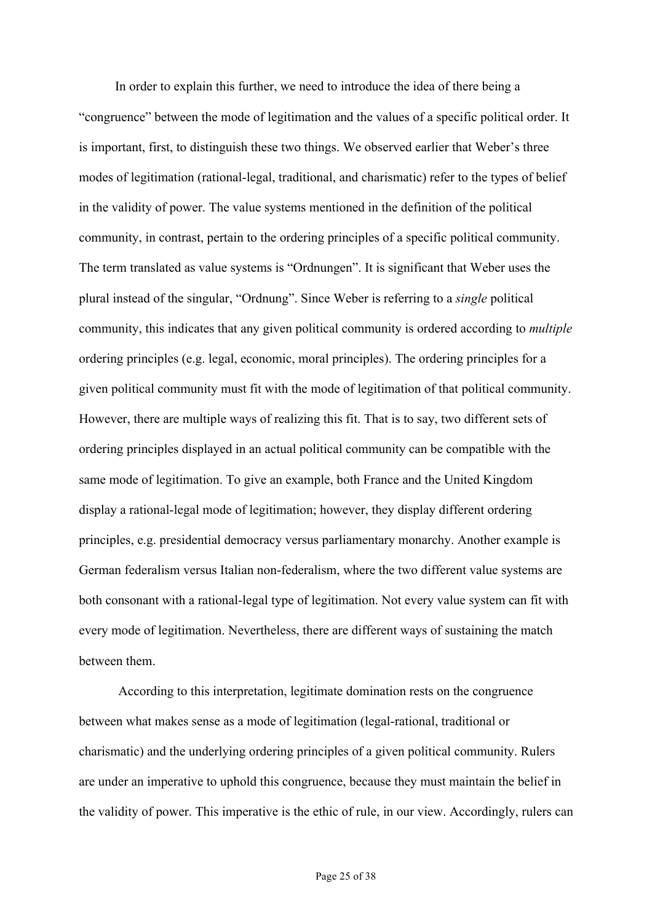In order to explain this further, we need to introduce the idea of there being a "congruence" between the mode of legitimation and the values of a specific political order. It is important, first, to distinguish these two things. We observed earlier that Weber's three modes of legitimation (rational-legal, traditional, and charismatic) refer to the types of belief in the validity of power. The value systems mentioned in the definition of the political community, in contrast, pertain to the ordering principles of a specific political community. The term translated as value systems is "Ordnungen". It is significant that Weber uses the plural instead of the singular, "Ordnung". Since Weber is referring to a *single* political community, this indicates that any given political community is ordered according to *multiple* ordering principles (e.g. legal, economic, moral principles). The ordering principles for a given political community must fit with the mode of legitimation of that political community. However, there are multiple ways of realizing this fit. That is to say, two different sets of ordering principles displayed in an actual political community can be compatible with the same mode of legitimation. To give an example, both France and the United Kingdom display a rational-legal mode of legitimation; however, they display different ordering principles, e.g. presidential democracy versus parliamentary monarchy. Another example is German federalism versus Italian non-federalism, where the two different value systems are both consonant with a rational-legal type of legitimation. Not every value system can fit with every mode of legitimation. Nevertheless, there are different ways of sustaining the match between them.

According to this interpretation, legitimate domination rests on the congruence between what makes sense as a mode of legitimation (legal-rational, traditional or charismatic) and the underlying ordering principles of a given political community. Rulers are under an imperative to uphold this congruence, because they must maintain the belief in the validity of power. This imperative is the ethic of rule, in our view. Accordingly, rulers can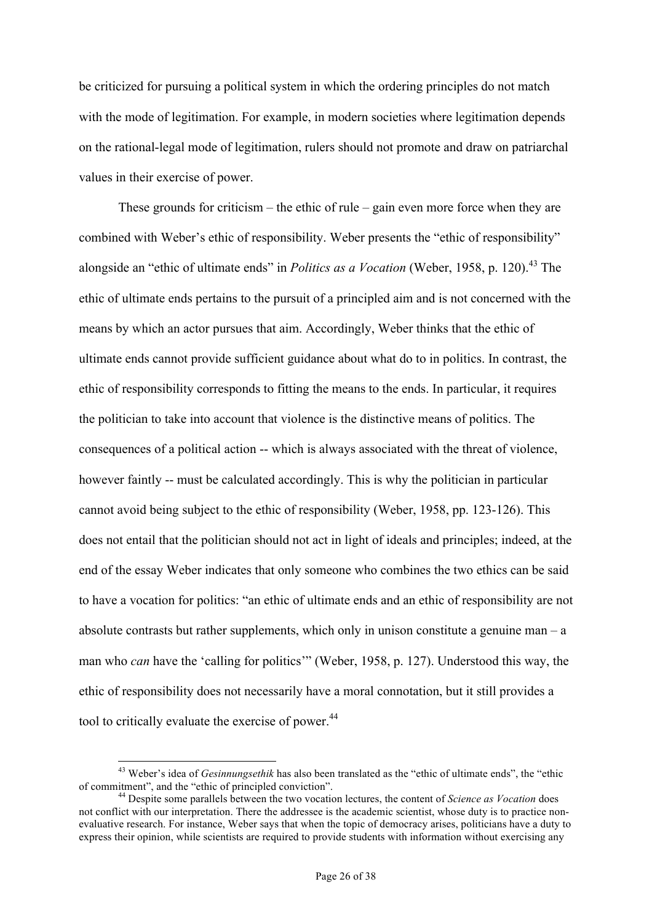be criticized for pursuing a political system in which the ordering principles do not match with the mode of legitimation. For example, in modern societies where legitimation depends on the rational-legal mode of legitimation, rulers should not promote and draw on patriarchal values in their exercise of power.

These grounds for criticism – the ethic of rule – gain even more force when they are combined with Weber's ethic of responsibility. Weber presents the "ethic of responsibility" alongside an "ethic of ultimate ends" in *Politics as a Vocation* (Weber, 1958, p. 120). <sup>43</sup> The ethic of ultimate ends pertains to the pursuit of a principled aim and is not concerned with the means by which an actor pursues that aim. Accordingly, Weber thinks that the ethic of ultimate ends cannot provide sufficient guidance about what do to in politics. In contrast, the ethic of responsibility corresponds to fitting the means to the ends. In particular, it requires the politician to take into account that violence is the distinctive means of politics. The consequences of a political action -- which is always associated with the threat of violence, however faintly -- must be calculated accordingly. This is why the politician in particular cannot avoid being subject to the ethic of responsibility (Weber, 1958, pp. 123-126). This does not entail that the politician should not act in light of ideals and principles; indeed, at the end of the essay Weber indicates that only someone who combines the two ethics can be said to have a vocation for politics: "an ethic of ultimate ends and an ethic of responsibility are not absolute contrasts but rather supplements, which only in unison constitute a genuine man –  $a$ man who *can* have the 'calling for politics'" (Weber, 1958, p. 127). Understood this way, the ethic of responsibility does not necessarily have a moral connotation, but it still provides a tool to critically evaluate the exercise of power.<sup>44</sup>

<sup>&</sup>lt;sup>43</sup> Weber's idea of *Gesinnungsethik* has also been translated as the "ethic of ultimate ends", the "ethic of commitment", and the "ethic of principled conviction".

<sup>&</sup>lt;sup>44</sup> Despite some parallels between the two vocation lectures, the content of *Science as Vocation* does not conflict with our interpretation. There the addressee is the academic scientist, whose duty is to practice nonevaluative research. For instance, Weber says that when the topic of democracy arises, politicians have a duty to express their opinion, while scientists are required to provide students with information without exercising any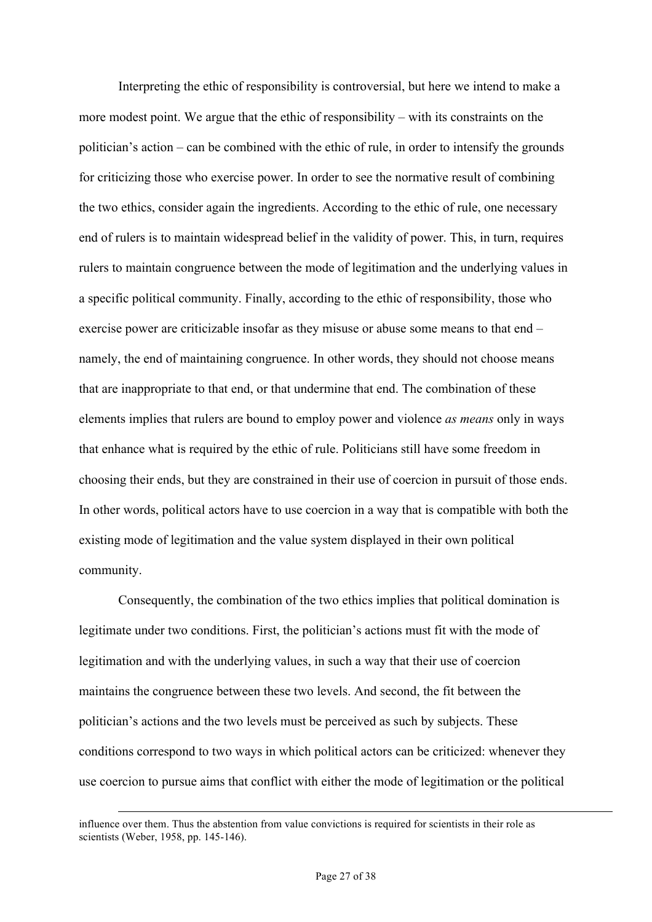Interpreting the ethic of responsibility is controversial, but here we intend to make a more modest point. We argue that the ethic of responsibility – with its constraints on the politician's action – can be combined with the ethic of rule, in order to intensify the grounds for criticizing those who exercise power. In order to see the normative result of combining the two ethics, consider again the ingredients. According to the ethic of rule, one necessary end of rulers is to maintain widespread belief in the validity of power. This, in turn, requires rulers to maintain congruence between the mode of legitimation and the underlying values in a specific political community. Finally, according to the ethic of responsibility, those who exercise power are criticizable insofar as they misuse or abuse some means to that end – namely, the end of maintaining congruence. In other words, they should not choose means that are inappropriate to that end, or that undermine that end. The combination of these elements implies that rulers are bound to employ power and violence *as means* only in ways that enhance what is required by the ethic of rule. Politicians still have some freedom in choosing their ends, but they are constrained in their use of coercion in pursuit of those ends. In other words, political actors have to use coercion in a way that is compatible with both the existing mode of legitimation and the value system displayed in their own political community.

Consequently, the combination of the two ethics implies that political domination is legitimate under two conditions. First, the politician's actions must fit with the mode of legitimation and with the underlying values, in such a way that their use of coercion maintains the congruence between these two levels. And second, the fit between the politician's actions and the two levels must be perceived as such by subjects. These conditions correspond to two ways in which political actors can be criticized: whenever they use coercion to pursue aims that conflict with either the mode of legitimation or the political

influence over them. Thus the abstention from value convictions is required for scientists in their role as scientists (Weber, 1958, pp. 145-146).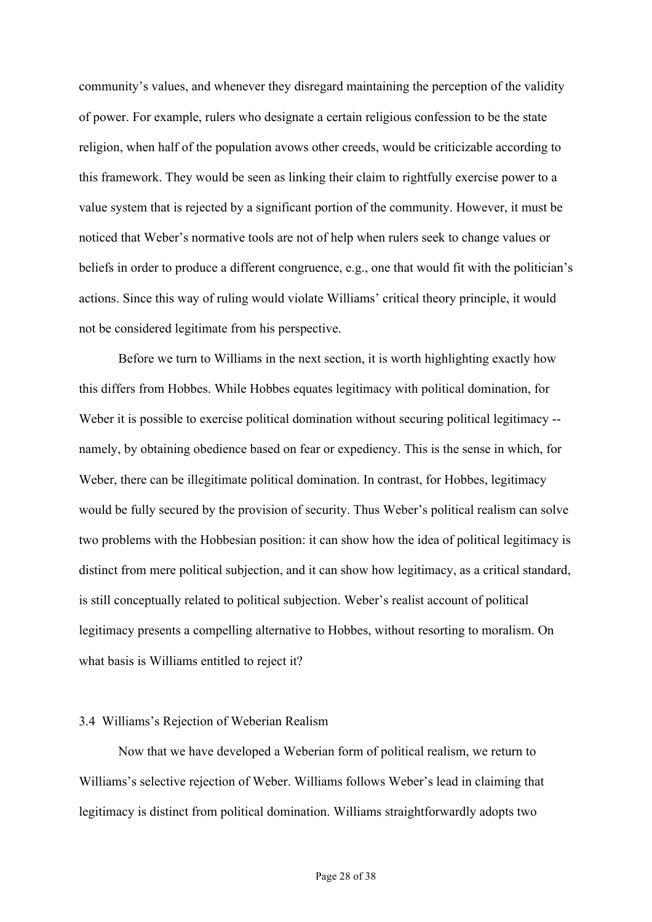community's values, and whenever they disregard maintaining the perception of the validity of power. For example, rulers who designate a certain religious confession to be the state religion, when half of the population avows other creeds, would be criticizable according to this framework. They would be seen as linking their claim to rightfully exercise power to a value system that is rejected by a significant portion of the community. However, it must be noticed that Weber's normative tools are not of help when rulers seek to change values or beliefs in order to produce a different congruence, e.g., one that would fit with the politician's actions. Since this way of ruling would violate Williams' critical theory principle, it would not be considered legitimate from his perspective.

Before we turn to Williams in the next section, it is worth highlighting exactly how this differs from Hobbes. While Hobbes equates legitimacy with political domination, for Weber it is possible to exercise political domination without securing political legitimacy -namely, by obtaining obedience based on fear or expediency. This is the sense in which, for Weber, there can be illegitimate political domination. In contrast, for Hobbes, legitimacy would be fully secured by the provision of security. Thus Weber's political realism can solve two problems with the Hobbesian position: it can show how the idea of political legitimacy is distinct from mere political subjection, and it can show how legitimacy, as a critical standard, is still conceptually related to political subjection. Weber's realist account of political legitimacy presents a compelling alternative to Hobbes, without resorting to moralism. On what basis is Williams entitled to reject it?

#### 3.4 Williams's Rejection of Weberian Realism

Now that we have developed a Weberian form of political realism, we return to Williams's selective rejection of Weber. Williams follows Weber's lead in claiming that legitimacy is distinct from political domination. Williams straightforwardly adopts two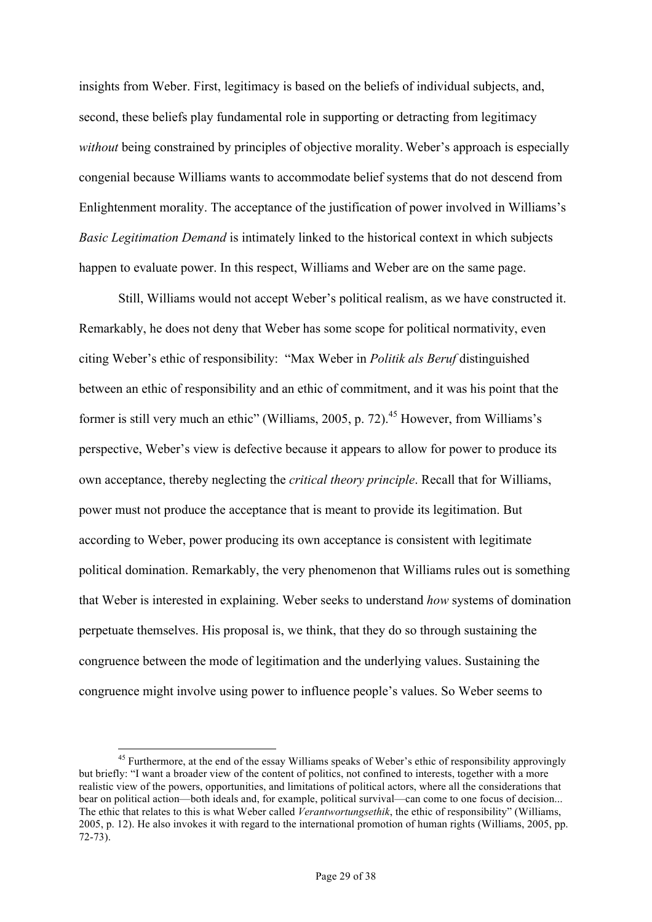insights from Weber. First, legitimacy is based on the beliefs of individual subjects, and, second, these beliefs play fundamental role in supporting or detracting from legitimacy *without* being constrained by principles of objective morality. Weber's approach is especially congenial because Williams wants to accommodate belief systems that do not descend from Enlightenment morality. The acceptance of the justification of power involved in Williams's *Basic Legitimation Demand* is intimately linked to the historical context in which subjects happen to evaluate power. In this respect, Williams and Weber are on the same page.

Still, Williams would not accept Weber's political realism, as we have constructed it. Remarkably, he does not deny that Weber has some scope for political normativity, even citing Weber's ethic of responsibility: "Max Weber in *Politik als Beruf* distinguished between an ethic of responsibility and an ethic of commitment, and it was his point that the former is still very much an ethic" (Williams, 2005, p. 72).<sup>45</sup> However, from Williams's perspective, Weber's view is defective because it appears to allow for power to produce its own acceptance, thereby neglecting the *critical theory principle*. Recall that for Williams, power must not produce the acceptance that is meant to provide its legitimation. But according to Weber, power producing its own acceptance is consistent with legitimate political domination. Remarkably, the very phenomenon that Williams rules out is something that Weber is interested in explaining. Weber seeks to understand *how* systems of domination perpetuate themselves. His proposal is, we think, that they do so through sustaining the congruence between the mode of legitimation and the underlying values. Sustaining the congruence might involve using power to influence people's values. So Weber seems to

<sup>&</sup>lt;sup>45</sup> Furthermore, at the end of the essay Williams speaks of Weber's ethic of responsibility approvingly but briefly: "I want a broader view of the content of politics, not confined to interests, together with a more realistic view of the powers, opportunities, and limitations of political actors, where all the considerations that bear on political action—both ideals and, for example, political survival—can come to one focus of decision... The ethic that relates to this is what Weber called *Verantwortungsethik*, the ethic of responsibility" (Williams, 2005, p. 12). He also invokes it with regard to the international promotion of human rights (Williams, 2005, pp. 72-73).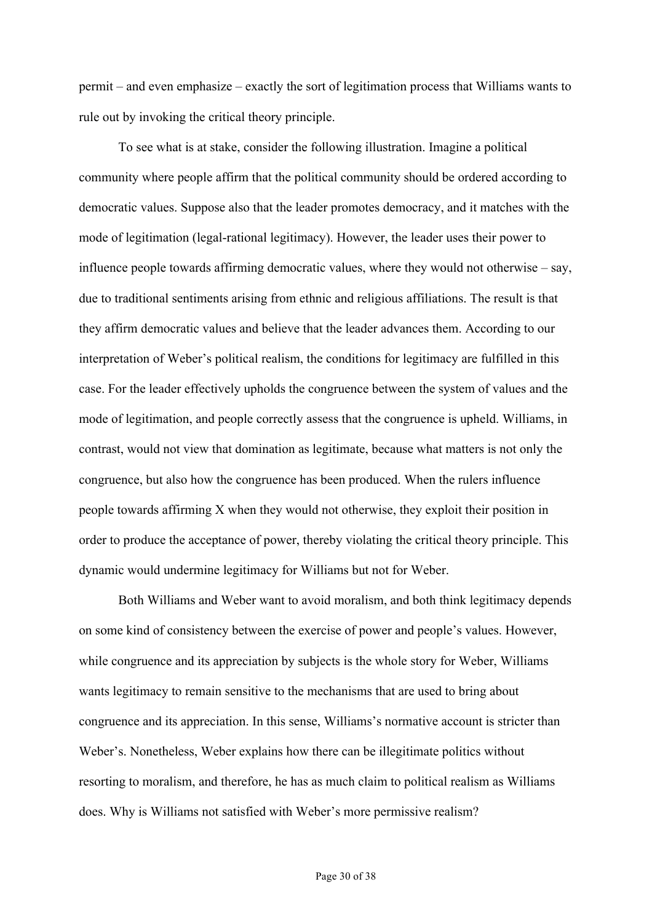permit – and even emphasize – exactly the sort of legitimation process that Williams wants to rule out by invoking the critical theory principle.

To see what is at stake, consider the following illustration. Imagine a political community where people affirm that the political community should be ordered according to democratic values. Suppose also that the leader promotes democracy, and it matches with the mode of legitimation (legal-rational legitimacy). However, the leader uses their power to influence people towards affirming democratic values, where they would not otherwise – say, due to traditional sentiments arising from ethnic and religious affiliations. The result is that they affirm democratic values and believe that the leader advances them. According to our interpretation of Weber's political realism, the conditions for legitimacy are fulfilled in this case. For the leader effectively upholds the congruence between the system of values and the mode of legitimation, and people correctly assess that the congruence is upheld. Williams, in contrast, would not view that domination as legitimate, because what matters is not only the congruence, but also how the congruence has been produced. When the rulers influence people towards affirming X when they would not otherwise, they exploit their position in order to produce the acceptance of power, thereby violating the critical theory principle. This dynamic would undermine legitimacy for Williams but not for Weber.

Both Williams and Weber want to avoid moralism, and both think legitimacy depends on some kind of consistency between the exercise of power and people's values. However, while congruence and its appreciation by subjects is the whole story for Weber, Williams wants legitimacy to remain sensitive to the mechanisms that are used to bring about congruence and its appreciation. In this sense, Williams's normative account is stricter than Weber's. Nonetheless, Weber explains how there can be illegitimate politics without resorting to moralism, and therefore, he has as much claim to political realism as Williams does. Why is Williams not satisfied with Weber's more permissive realism?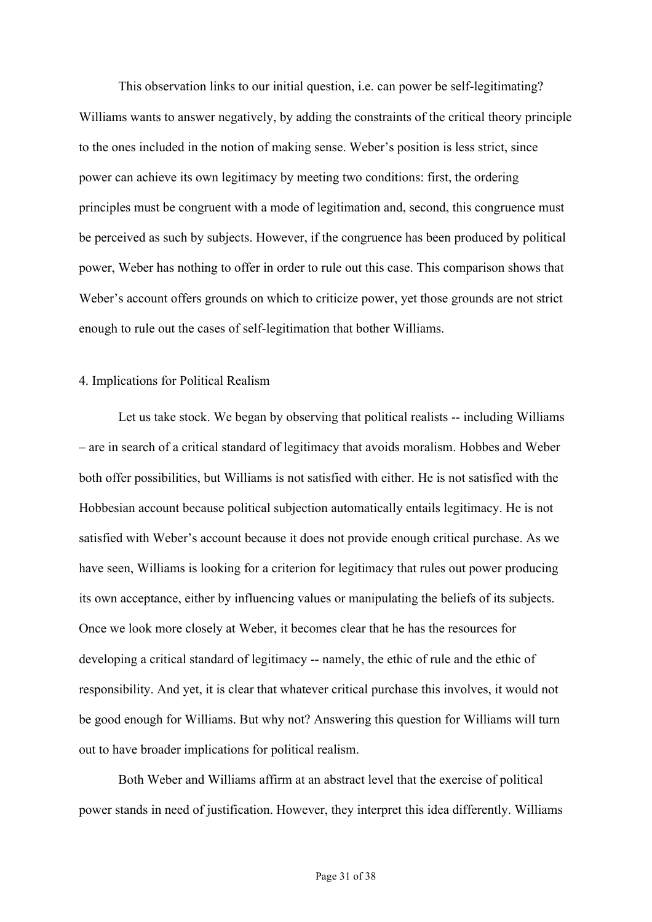This observation links to our initial question, i.e. can power be self-legitimating? Williams wants to answer negatively, by adding the constraints of the critical theory principle to the ones included in the notion of making sense. Weber's position is less strict, since power can achieve its own legitimacy by meeting two conditions: first, the ordering principles must be congruent with a mode of legitimation and, second, this congruence must be perceived as such by subjects. However, if the congruence has been produced by political power, Weber has nothing to offer in order to rule out this case. This comparison shows that Weber's account offers grounds on which to criticize power, yet those grounds are not strict enough to rule out the cases of self-legitimation that bother Williams.

#### 4. Implications for Political Realism

Let us take stock. We began by observing that political realists -- including Williams – are in search of a critical standard of legitimacy that avoids moralism. Hobbes and Weber both offer possibilities, but Williams is not satisfied with either. He is not satisfied with the Hobbesian account because political subjection automatically entails legitimacy. He is not satisfied with Weber's account because it does not provide enough critical purchase. As we have seen, Williams is looking for a criterion for legitimacy that rules out power producing its own acceptance, either by influencing values or manipulating the beliefs of its subjects. Once we look more closely at Weber, it becomes clear that he has the resources for developing a critical standard of legitimacy -- namely, the ethic of rule and the ethic of responsibility. And yet, it is clear that whatever critical purchase this involves, it would not be good enough for Williams. But why not? Answering this question for Williams will turn out to have broader implications for political realism.

Both Weber and Williams affirm at an abstract level that the exercise of political power stands in need of justification. However, they interpret this idea differently. Williams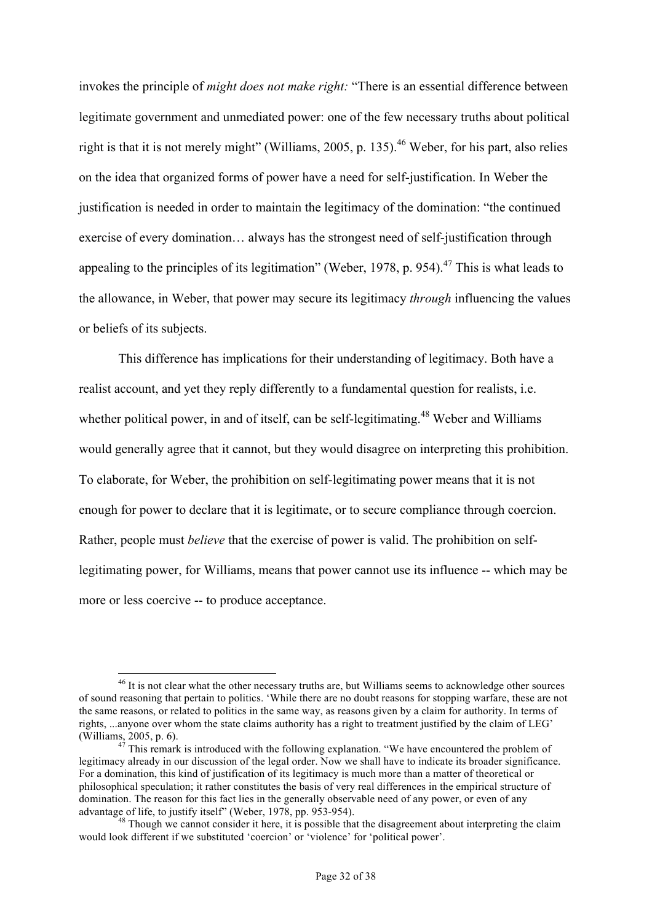invokes the principle of *might does not make right:* "There is an essential difference between legitimate government and unmediated power: one of the few necessary truths about political right is that it is not merely might" (Williams, 2005, p. 135). <sup>46</sup> Weber, for his part, also relies on the idea that organized forms of power have a need for self-justification. In Weber the justification is needed in order to maintain the legitimacy of the domination: "the continued exercise of every domination… always has the strongest need of self-justification through appealing to the principles of its legitimation" (Weber, 1978, p. 954).<sup>47</sup> This is what leads to the allowance, in Weber, that power may secure its legitimacy *through* influencing the values or beliefs of its subjects.

This difference has implications for their understanding of legitimacy. Both have a realist account, and yet they reply differently to a fundamental question for realists, i.e. whether political power, in and of itself, can be self-legitimating.<sup>48</sup> Weber and Williams would generally agree that it cannot, but they would disagree on interpreting this prohibition. To elaborate, for Weber, the prohibition on self-legitimating power means that it is not enough for power to declare that it is legitimate, or to secure compliance through coercion. Rather, people must *believe* that the exercise of power is valid. The prohibition on selflegitimating power, for Williams, means that power cannot use its influence -- which may be more or less coercive -- to produce acceptance.

<sup>&</sup>lt;sup>46</sup> It is not clear what the other necessary truths are, but Williams seems to acknowledge other sources of sound reasoning that pertain to politics. 'While there are no doubt reasons for stopping warfare, these are not the same reasons, or related to politics in the same way, as reasons given by a claim for authority. In terms of rights, ...anyone over whom the state claims authority has a right to treatment justified by the claim of LEG'

 $4<sup>47</sup>$  This remark is introduced with the following explanation. "We have encountered the problem of legitimacy already in our discussion of the legal order. Now we shall have to indicate its broader significance. For a domination, this kind of justification of its legitimacy is much more than a matter of theoretical or philosophical speculation; it rather constitutes the basis of very real differences in the empirical structure of domination. The reason for this fact lies in the generally observable need of any power, or even of any advantage of life, to justify itself" (Weber, 1978, pp. 953-954).

 $\frac{48}{\text{H}}$  Though we cannot consider it here, it is possible that the disagreement about interpreting the claim would look different if we substituted 'coercion' or 'violence' for 'political power'.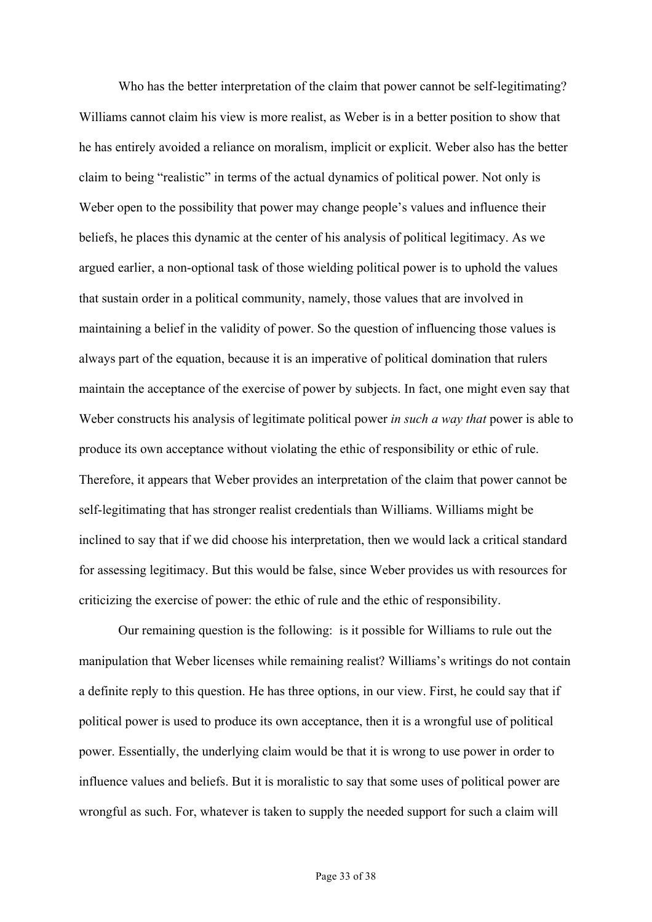Who has the better interpretation of the claim that power cannot be self-legitimating? Williams cannot claim his view is more realist, as Weber is in a better position to show that he has entirely avoided a reliance on moralism, implicit or explicit. Weber also has the better claim to being "realistic" in terms of the actual dynamics of political power. Not only is Weber open to the possibility that power may change people's values and influence their beliefs, he places this dynamic at the center of his analysis of political legitimacy. As we argued earlier, a non-optional task of those wielding political power is to uphold the values that sustain order in a political community, namely, those values that are involved in maintaining a belief in the validity of power. So the question of influencing those values is always part of the equation, because it is an imperative of political domination that rulers maintain the acceptance of the exercise of power by subjects. In fact, one might even say that Weber constructs his analysis of legitimate political power *in such a way that* power is able to produce its own acceptance without violating the ethic of responsibility or ethic of rule. Therefore, it appears that Weber provides an interpretation of the claim that power cannot be self-legitimating that has stronger realist credentials than Williams. Williams might be inclined to say that if we did choose his interpretation, then we would lack a critical standard for assessing legitimacy. But this would be false, since Weber provides us with resources for criticizing the exercise of power: the ethic of rule and the ethic of responsibility.

Our remaining question is the following: is it possible for Williams to rule out the manipulation that Weber licenses while remaining realist? Williams's writings do not contain a definite reply to this question. He has three options, in our view. First, he could say that if political power is used to produce its own acceptance, then it is a wrongful use of political power. Essentially, the underlying claim would be that it is wrong to use power in order to influence values and beliefs. But it is moralistic to say that some uses of political power are wrongful as such. For, whatever is taken to supply the needed support for such a claim will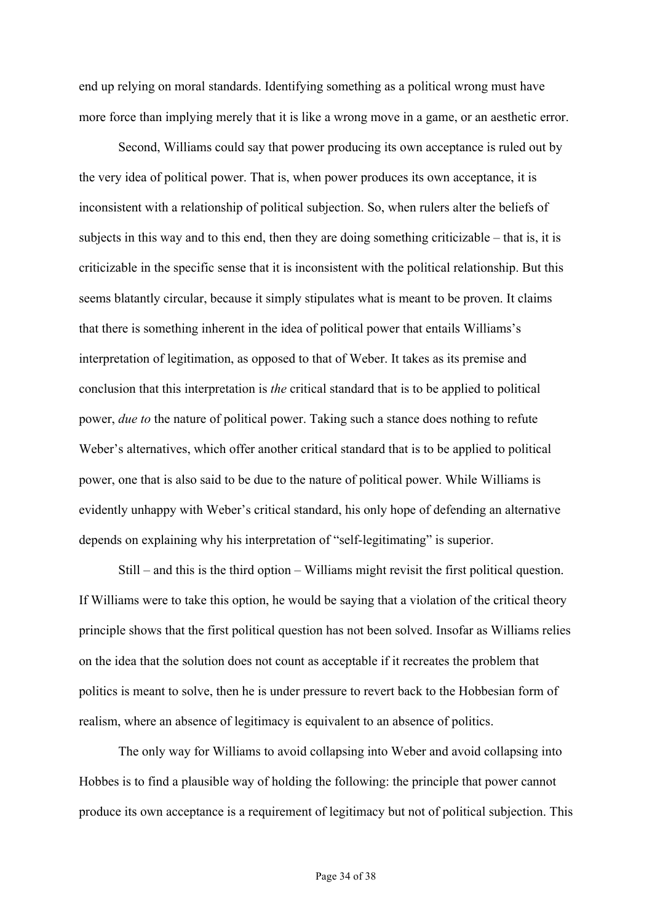end up relying on moral standards. Identifying something as a political wrong must have more force than implying merely that it is like a wrong move in a game, or an aesthetic error.

Second, Williams could say that power producing its own acceptance is ruled out by the very idea of political power. That is, when power produces its own acceptance, it is inconsistent with a relationship of political subjection. So, when rulers alter the beliefs of subjects in this way and to this end, then they are doing something criticizable – that is, it is criticizable in the specific sense that it is inconsistent with the political relationship. But this seems blatantly circular, because it simply stipulates what is meant to be proven. It claims that there is something inherent in the idea of political power that entails Williams's interpretation of legitimation, as opposed to that of Weber. It takes as its premise and conclusion that this interpretation is *the* critical standard that is to be applied to political power, *due to* the nature of political power. Taking such a stance does nothing to refute Weber's alternatives, which offer another critical standard that is to be applied to political power, one that is also said to be due to the nature of political power. While Williams is evidently unhappy with Weber's critical standard, his only hope of defending an alternative depends on explaining why his interpretation of "self-legitimating" is superior.

Still – and this is the third option – Williams might revisit the first political question. If Williams were to take this option, he would be saying that a violation of the critical theory principle shows that the first political question has not been solved. Insofar as Williams relies on the idea that the solution does not count as acceptable if it recreates the problem that politics is meant to solve, then he is under pressure to revert back to the Hobbesian form of realism, where an absence of legitimacy is equivalent to an absence of politics.

The only way for Williams to avoid collapsing into Weber and avoid collapsing into Hobbes is to find a plausible way of holding the following: the principle that power cannot produce its own acceptance is a requirement of legitimacy but not of political subjection. This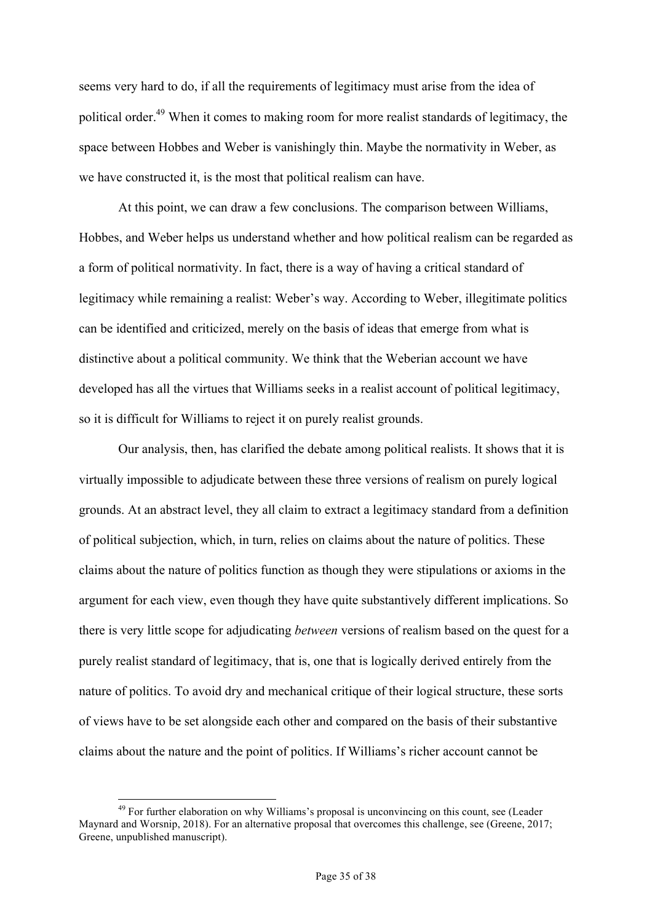seems very hard to do, if all the requirements of legitimacy must arise from the idea of political order.<sup>49</sup> When it comes to making room for more realist standards of legitimacy, the space between Hobbes and Weber is vanishingly thin. Maybe the normativity in Weber, as we have constructed it, is the most that political realism can have.

At this point, we can draw a few conclusions. The comparison between Williams, Hobbes, and Weber helps us understand whether and how political realism can be regarded as a form of political normativity. In fact, there is a way of having a critical standard of legitimacy while remaining a realist: Weber's way. According to Weber, illegitimate politics can be identified and criticized, merely on the basis of ideas that emerge from what is distinctive about a political community. We think that the Weberian account we have developed has all the virtues that Williams seeks in a realist account of political legitimacy, so it is difficult for Williams to reject it on purely realist grounds.

Our analysis, then, has clarified the debate among political realists. It shows that it is virtually impossible to adjudicate between these three versions of realism on purely logical grounds. At an abstract level, they all claim to extract a legitimacy standard from a definition of political subjection, which, in turn, relies on claims about the nature of politics. These claims about the nature of politics function as though they were stipulations or axioms in the argument for each view, even though they have quite substantively different implications. So there is very little scope for adjudicating *between* versions of realism based on the quest for a purely realist standard of legitimacy, that is, one that is logically derived entirely from the nature of politics. To avoid dry and mechanical critique of their logical structure, these sorts of views have to be set alongside each other and compared on the basis of their substantive claims about the nature and the point of politics. If Williams's richer account cannot be

 $^{49}$  For further elaboration on why Williams's proposal is unconvincing on this count, see (Leader Maynard and Worsnip, 2018). For an alternative proposal that overcomes this challenge, see (Greene, 2017; Greene, unpublished manuscript).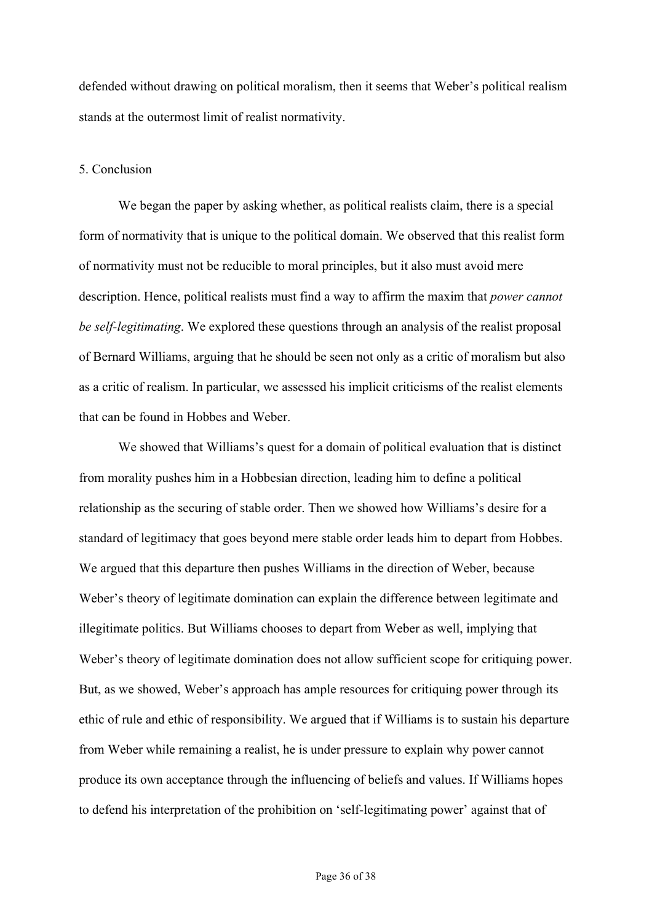defended without drawing on political moralism, then it seems that Weber's political realism stands at the outermost limit of realist normativity.

#### 5. Conclusion

We began the paper by asking whether, as political realists claim, there is a special form of normativity that is unique to the political domain. We observed that this realist form of normativity must not be reducible to moral principles, but it also must avoid mere description. Hence, political realists must find a way to affirm the maxim that *power cannot be self-legitimating*. We explored these questions through an analysis of the realist proposal of Bernard Williams, arguing that he should be seen not only as a critic of moralism but also as a critic of realism. In particular, we assessed his implicit criticisms of the realist elements that can be found in Hobbes and Weber.

We showed that Williams's quest for a domain of political evaluation that is distinct from morality pushes him in a Hobbesian direction, leading him to define a political relationship as the securing of stable order. Then we showed how Williams's desire for a standard of legitimacy that goes beyond mere stable order leads him to depart from Hobbes. We argued that this departure then pushes Williams in the direction of Weber, because Weber's theory of legitimate domination can explain the difference between legitimate and illegitimate politics. But Williams chooses to depart from Weber as well, implying that Weber's theory of legitimate domination does not allow sufficient scope for critiquing power. But, as we showed, Weber's approach has ample resources for critiquing power through its ethic of rule and ethic of responsibility. We argued that if Williams is to sustain his departure from Weber while remaining a realist, he is under pressure to explain why power cannot produce its own acceptance through the influencing of beliefs and values. If Williams hopes to defend his interpretation of the prohibition on 'self-legitimating power' against that of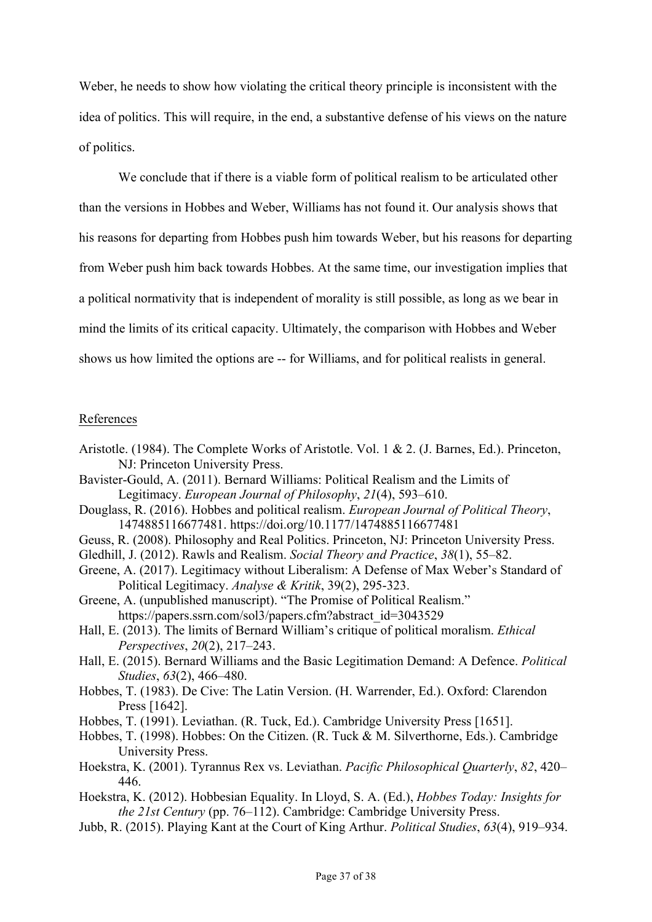Weber, he needs to show how violating the critical theory principle is inconsistent with the idea of politics. This will require, in the end, a substantive defense of his views on the nature of politics.

We conclude that if there is a viable form of political realism to be articulated other than the versions in Hobbes and Weber, Williams has not found it. Our analysis shows that his reasons for departing from Hobbes push him towards Weber, but his reasons for departing from Weber push him back towards Hobbes. At the same time, our investigation implies that a political normativity that is independent of morality is still possible, as long as we bear in mind the limits of its critical capacity. Ultimately, the comparison with Hobbes and Weber shows us how limited the options are -- for Williams, and for political realists in general.

#### References

- Aristotle. (1984). The Complete Works of Aristotle. Vol. 1 & 2. (J. Barnes, Ed.). Princeton, NJ: Princeton University Press.
- Bavister-Gould, A. (2011). Bernard Williams: Political Realism and the Limits of Legitimacy. *European Journal of Philosophy*, *21*(4), 593–610.
- Douglass, R. (2016). Hobbes and political realism. *European Journal of Political Theory*, 1474885116677481. https://doi.org/10.1177/1474885116677481
- Geuss, R. (2008). Philosophy and Real Politics. Princeton, NJ: Princeton University Press.
- Gledhill, J. (2012). Rawls and Realism. *Social Theory and Practice*, *38*(1), 55–82.
- Greene, A. (2017). Legitimacy without Liberalism: A Defense of Max Weber's Standard of Political Legitimacy. *Analyse & Kritik*, 39(2), 295-323.
- Greene, A. (unpublished manuscript). "The Promise of Political Realism." https://papers.ssrn.com/sol3/papers.cfm?abstract\_id=3043529
- Hall, E. (2013). The limits of Bernard William's critique of political moralism. *Ethical Perspectives*, *20*(2), 217–243.
- Hall, E. (2015). Bernard Williams and the Basic Legitimation Demand: A Defence. *Political Studies*, *63*(2), 466–480.
- Hobbes, T. (1983). De Cive: The Latin Version. (H. Warrender, Ed.). Oxford: Clarendon Press [1642].
- Hobbes, T. (1991). Leviathan. (R. Tuck, Ed.). Cambridge University Press [1651].
- Hobbes, T. (1998). Hobbes: On the Citizen. (R. Tuck & M. Silverthorne, Eds.). Cambridge University Press.
- Hoekstra, K. (2001). Tyrannus Rex vs. Leviathan. *Pacific Philosophical Quarterly*, *82*, 420– 446.
- Hoekstra, K. (2012). Hobbesian Equality. In Lloyd, S. A. (Ed.), *Hobbes Today: Insights for the 21st Century* (pp. 76–112). Cambridge: Cambridge University Press.
- Jubb, R. (2015). Playing Kant at the Court of King Arthur. *Political Studies*, *63*(4), 919–934.